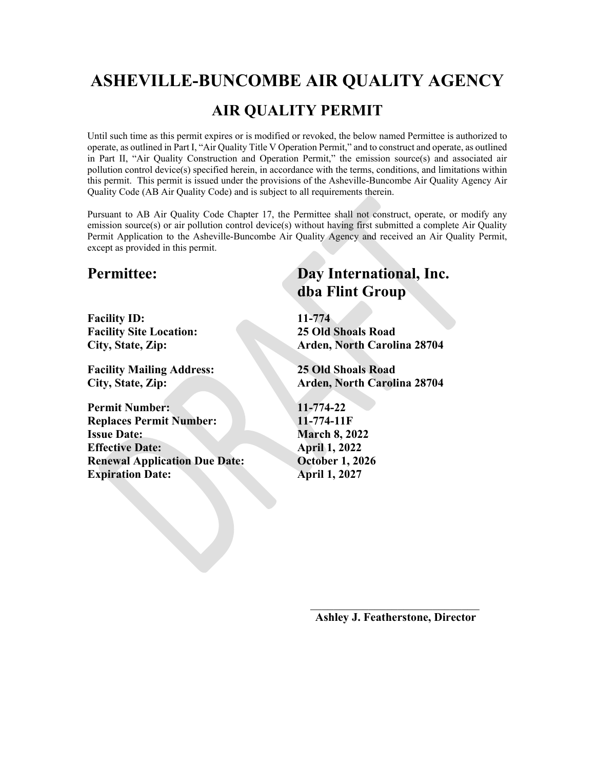# **ASHEVILLE-BUNCOMBE AIR QUALITY AGENCY**

# **AIR QUALITY PERMIT**

Until such time as this permit expires or is modified or revoked, the below named Permittee is authorized to operate, as outlined in Part I, "Air Quality Title V Operation Permit," and to construct and operate, as outlined in Part II, "Air Quality Construction and Operation Permit," the emission source(s) and associated air pollution control device(s) specified herein, in accordance with the terms, conditions, and limitations within this permit. This permit is issued under the provisions of the Asheville-Buncombe Air Quality Agency Air Quality Code (AB Air Quality Code) and is subject to all requirements therein.

Pursuant to AB Air Quality Code Chapter 17, the Permittee shall not construct, operate, or modify any emission source(s) or air pollution control device(s) without having first submitted a complete Air Quality Permit Application to the Asheville-Buncombe Air Quality Agency and received an Air Quality Permit, except as provided in this permit.

**Facility ID: 11-774 Facility Site Location: 25 Old Shoals Road**

**Facility Mailing Address: 25 Old Shoals Road**

**Permit Number: 11-774-22 Replaces Permit Number: 11-774-11F Issue Date: March 8, 2022 Effective Date: April 1, 2022 Renewal Application Due Date: October 1, 2026 Expiration Date: April 1, 2027** 

# **Permittee: Day International, Inc. dba Flint Group**

**City, State, Zip: Arden, North Carolina 28704**

**City, State, Zip: Arden, North Carolina 28704**

**Ashley J. Featherstone, Director**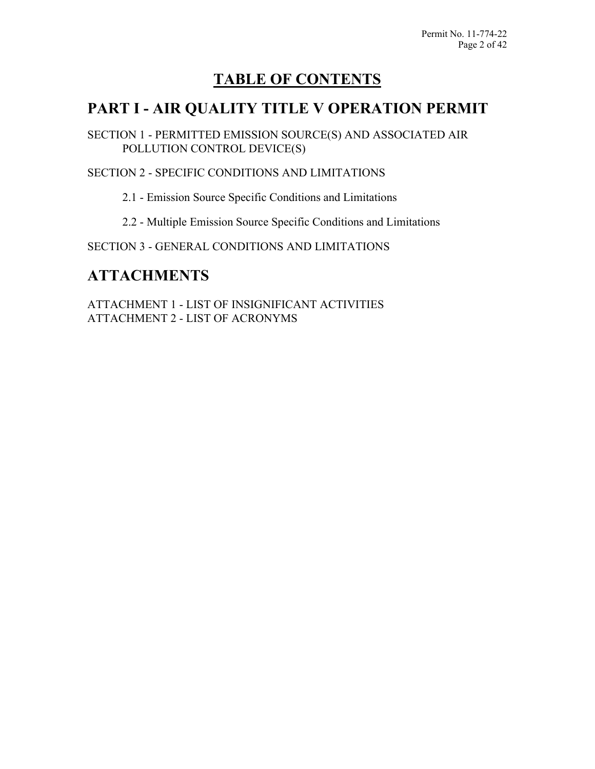# **TABLE OF CONTENTS**

# **PART I - AIR QUALITY TITLE V OPERATION PERMIT**

SECTION 1 - PERMITTED EMISSION SOURCE(S) AND ASSOCIATED AIR POLLUTION CONTROL DEVICE(S)

SECTION 2 - SPECIFIC CONDITIONS AND LIMITATIONS

2.1 - Emission Source Specific Conditions and Limitations

2.2 - Multiple Emission Source Specific Conditions and Limitations

SECTION 3 - GENERAL CONDITIONS AND LIMITATIONS

# **ATTACHMENTS**

ATTACHMENT 1 - LIST OF INSIGNIFICANT ACTIVITIES ATTACHMENT 2 - LIST OF ACRONYMS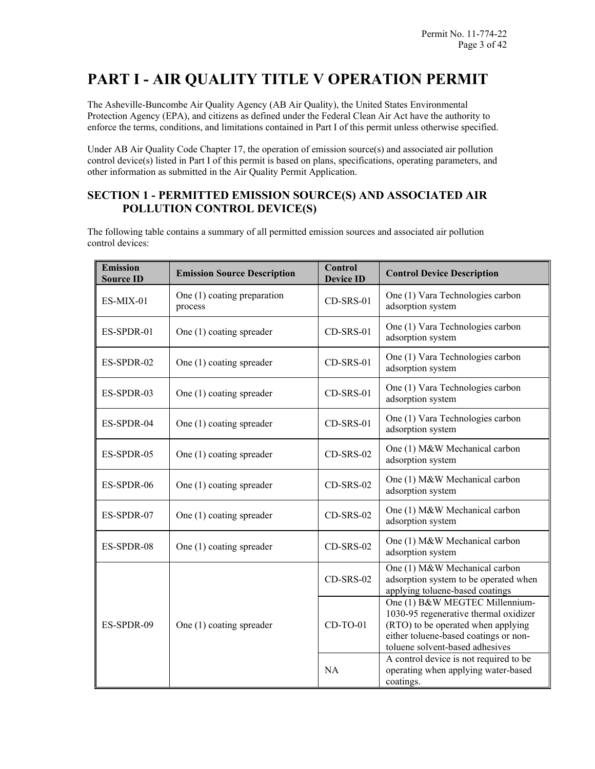# **PART I - AIR QUALITY TITLE V OPERATION PERMIT**

The Asheville-Buncombe Air Quality Agency (AB Air Quality), the United States Environmental Protection Agency (EPA), and citizens as defined under the Federal Clean Air Act have the authority to enforce the terms, conditions, and limitations contained in Part I of this permit unless otherwise specified.

Under AB Air Quality Code Chapter 17, the operation of emission source(s) and associated air pollution control device(s) listed in Part I of this permit is based on plans, specifications, operating parameters, and other information as submitted in the Air Quality Permit Application.

# **SECTION 1 - PERMITTED EMISSION SOURCE(S) AND ASSOCIATED AIR POLLUTION CONTROL DEVICE(S)**

The following table contains a summary of all permitted emission sources and associated air pollution control devices:

| <b>Emission</b><br><b>Source ID</b> | <b>Emission Source Description</b>       | <b>Control</b><br><b>Device ID</b> | <b>Control Device Description</b>                                                                                                                                                         |
|-------------------------------------|------------------------------------------|------------------------------------|-------------------------------------------------------------------------------------------------------------------------------------------------------------------------------------------|
| ES-MIX-01                           | One $(1)$ coating preparation<br>process | CD-SRS-01                          | One (1) Vara Technologies carbon<br>adsorption system                                                                                                                                     |
| ES-SPDR-01                          | One (1) coating spreader                 | CD-SRS-01                          | One (1) Vara Technologies carbon<br>adsorption system                                                                                                                                     |
| ES-SPDR-02                          | One (1) coating spreader                 | CD-SRS-01                          | One (1) Vara Technologies carbon<br>adsorption system                                                                                                                                     |
| ES-SPDR-03                          | One (1) coating spreader                 | CD-SRS-01                          | One (1) Vara Technologies carbon<br>adsorption system                                                                                                                                     |
| ES-SPDR-04                          | One (1) coating spreader                 | $CD$ -SRS-01                       | One (1) Vara Technologies carbon<br>adsorption system                                                                                                                                     |
| ES-SPDR-05                          | One (1) coating spreader                 | $CD$ -SRS-02                       | One (1) M&W Mechanical carbon<br>adsorption system                                                                                                                                        |
| ES-SPDR-06                          | One $(1)$ coating spreader               | $CD$ -SRS-02                       | One (1) M&W Mechanical carbon<br>adsorption system                                                                                                                                        |
| ES-SPDR-07                          | One $(1)$ coating spreader               | $CD$ -SRS-02                       | One (1) M&W Mechanical carbon<br>adsorption system                                                                                                                                        |
| ES-SPDR-08                          | One $(1)$ coating spreader               | $CD$ -SRS-02                       | One (1) M&W Mechanical carbon<br>adsorption system                                                                                                                                        |
|                                     |                                          | $CD$ -SRS-02                       | One (1) M&W Mechanical carbon<br>adsorption system to be operated when<br>applying toluene-based coatings                                                                                 |
| ES-SPDR-09                          | One $(1)$ coating spreader               | $CD-TO-01$                         | One (1) B&W MEGTEC Millennium-<br>1030-95 regenerative thermal oxidizer<br>(RTO) to be operated when applying<br>either toluene-based coatings or non-<br>toluene solvent-based adhesives |
|                                     |                                          | <b>NA</b>                          | A control device is not required to be<br>operating when applying water-based<br>coatings.                                                                                                |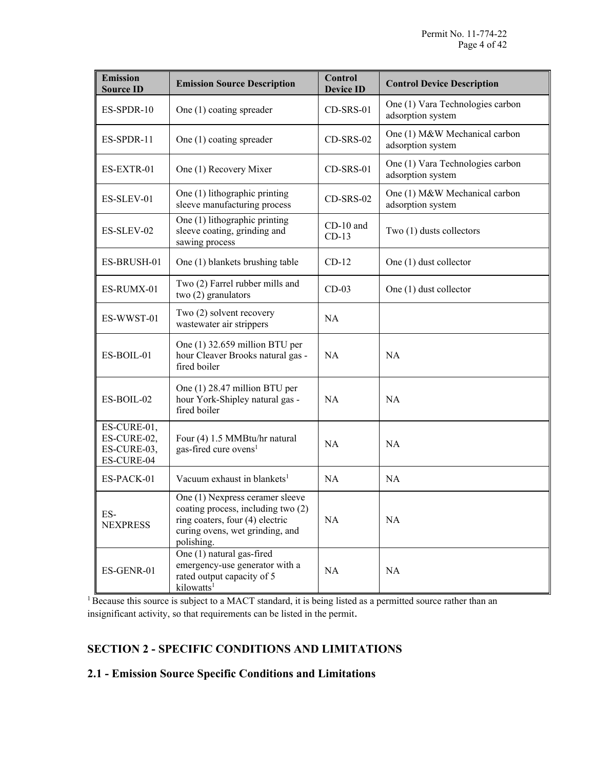| <b>Emission</b><br><b>Source ID</b>                     | <b>Emission Source Description</b>                                                                                                                        | <b>Control</b><br><b>Device ID</b> | <b>Control Device Description</b>                     |
|---------------------------------------------------------|-----------------------------------------------------------------------------------------------------------------------------------------------------------|------------------------------------|-------------------------------------------------------|
| ES-SPDR-10                                              | One (1) coating spreader                                                                                                                                  | $CD$ -SRS-01                       | One (1) Vara Technologies carbon<br>adsorption system |
| ES-SPDR-11                                              | One (1) coating spreader                                                                                                                                  | $CD$ -SRS-02                       | One (1) M&W Mechanical carbon<br>adsorption system    |
| ES-EXTR-01                                              | One (1) Recovery Mixer                                                                                                                                    | $CD$ -SRS-01                       | One (1) Vara Technologies carbon<br>adsorption system |
| ES-SLEV-01                                              | One (1) lithographic printing<br>sleeve manufacturing process                                                                                             | $CD$ -SRS-02                       | One (1) M&W Mechanical carbon<br>adsorption system    |
| ES-SLEV-02                                              | One (1) lithographic printing<br>sleeve coating, grinding and<br>sawing process                                                                           | $CD-10$ and<br>$CD-13$             | Two (1) dusts collectors                              |
| ES-BRUSH-01                                             | One (1) blankets brushing table                                                                                                                           | $CD-12$                            | One (1) dust collector                                |
| ES-RUMX-01                                              | Two (2) Farrel rubber mills and<br>two (2) granulators                                                                                                    | $CD-03$                            | One (1) dust collector                                |
| ES-WWST-01                                              | Two (2) solvent recovery<br>wastewater air strippers                                                                                                      | <b>NA</b>                          |                                                       |
| ES-BOIL-01                                              | One (1) 32.659 million BTU per<br>hour Cleaver Brooks natural gas -<br>fired boiler                                                                       | <b>NA</b>                          | <b>NA</b>                                             |
| ES-BOIL-02                                              | One (1) 28.47 million BTU per<br>hour York-Shipley natural gas -<br>fired boiler                                                                          | <b>NA</b>                          | <b>NA</b>                                             |
| ES-CURE-01,<br>ES-CURE-02,<br>ES-CURE-03,<br>ES-CURE-04 | Four (4) 1.5 MMBtu/hr natural<br>gas-fired cure ovens <sup>1</sup>                                                                                        | <b>NA</b>                          | <b>NA</b>                                             |
| ES-PACK-01                                              | Vacuum exhaust in blankets <sup>1</sup>                                                                                                                   | <b>NA</b>                          | <b>NA</b>                                             |
| ES-<br><b>NEXPRESS</b>                                  | One (1) Nexpress ceramer sleeve<br>coating process, including two (2)<br>ring coaters, four (4) electric<br>curing ovens, wet grinding, and<br>polishing. | NA                                 | NA                                                    |
| ES-GENR-01                                              | One (1) natural gas-fired<br>emergency-use generator with a<br>rated output capacity of 5<br>kilowatts <sup>1</sup>                                       | NA                                 | <b>NA</b>                                             |

<sup>1</sup> Because this source is subject to a MACT standard, it is being listed as a permitted source rather than an insignificant activity, so that requirements can be listed in the permit.

# **SECTION 2 - SPECIFIC CONDITIONS AND LIMITATIONS**

# **2.1 - Emission Source Specific Conditions and Limitations**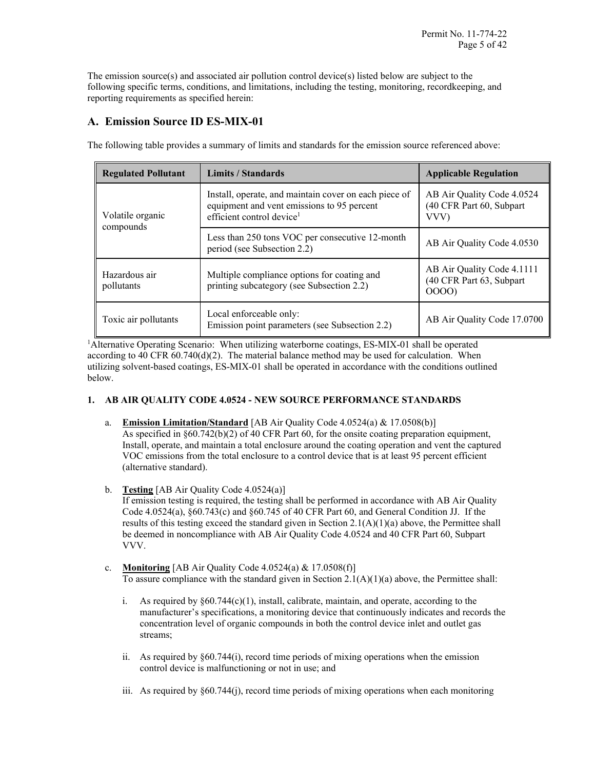The emission source(s) and associated air pollution control device(s) listed below are subject to the following specific terms, conditions, and limitations, including the testing, monitoring, recordkeeping, and reporting requirements as specified herein:

# **A. Emission Source ID ES-MIX-01**

| <b>Regulated Pollutant</b>  | <b>Limits / Standards</b>                                                                                                                    | <b>Applicable Regulation</b>                                     |
|-----------------------------|----------------------------------------------------------------------------------------------------------------------------------------------|------------------------------------------------------------------|
| Volatile organic            | Install, operate, and maintain cover on each piece of<br>equipment and vent emissions to 95 percent<br>efficient control device <sup>1</sup> | AB Air Quality Code 4.0524<br>(40 CFR Part 60, Subpart<br>VVV)   |
| compounds                   | Less than 250 tons VOC per consecutive 12-month<br>period (see Subsection 2.2)                                                               | AB Air Quality Code 4.0530                                       |
| Hazardous air<br>pollutants | Multiple compliance options for coating and<br>printing subcategory (see Subsection 2.2)                                                     | AB Air Quality Code 4.1111<br>(40 CFR Part 63, Subpart)<br>0000) |
| Toxic air pollutants        | Local enforceable only:<br>Emission point parameters (see Subsection 2.2)                                                                    | AB Air Quality Code 17.0700                                      |

The following table provides a summary of limits and standards for the emission source referenced above:

<sup>1</sup>Alternative Operating Scenario: When utilizing waterborne coatings, ES-MIX-01 shall be operated according to 40 CFR  $60.740(d)(2)$ . The material balance method may be used for calculation. When utilizing solvent-based coatings, ES-MIX-01 shall be operated in accordance with the conditions outlined below.

# **1. AB AIR QUALITY CODE 4.0524 - NEW SOURCE PERFORMANCE STANDARDS**

- a. **Emission Limitation/Standard** [AB Air Quality Code 4.0524(a) & 17.0508(b)] As specified in §60.742(b)(2) of 40 CFR Part 60, for the onsite coating preparation equipment, Install, operate, and maintain a total enclosure around the coating operation and vent the captured VOC emissions from the total enclosure to a control device that is at least 95 percent efficient (alternative standard).
- b. **Testing** [AB Air Quality Code 4.0524(a)]

If emission testing is required, the testing shall be performed in accordance with AB Air Quality Code 4.0524(a), §60.743(c) and §60.745 of 40 CFR Part 60, and General Condition JJ. If the results of this testing exceed the standard given in Section  $2.1(A)(1)(a)$  above, the Permittee shall be deemed in noncompliance with AB Air Quality Code 4.0524 and 40 CFR Part 60, Subpart VVV.

- c. **Monitoring** [AB Air Quality Code 4.0524(a) & 17.0508(f)] To assure compliance with the standard given in Section  $2.1(A)(1)(a)$  above, the Permittee shall:
	- i. As required by  $\S60.744(c)(1)$ , install, calibrate, maintain, and operate, according to the manufacturer's specifications, a monitoring device that continuously indicates and records the concentration level of organic compounds in both the control device inlet and outlet gas streams;
	- ii. As required by §60.744(i), record time periods of mixing operations when the emission control device is malfunctioning or not in use; and
	- iii. As required by §60.744(j), record time periods of mixing operations when each monitoring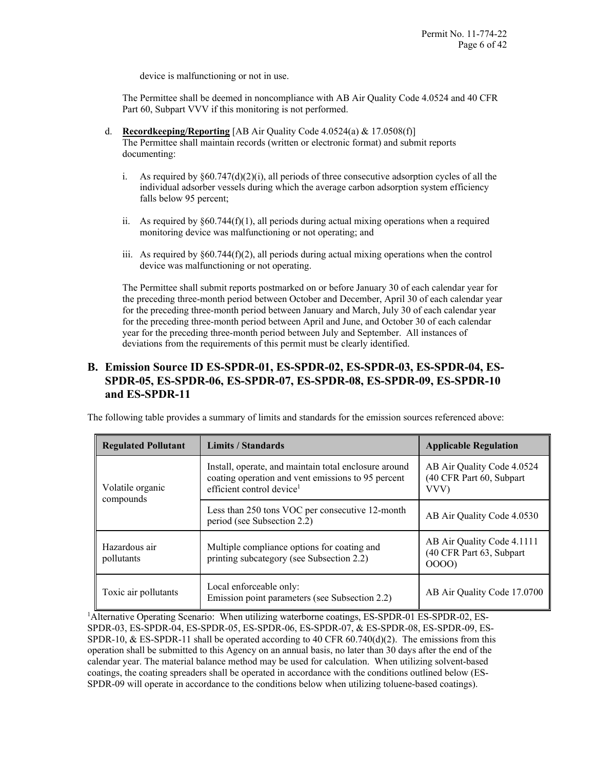device is malfunctioning or not in use.

The Permittee shall be deemed in noncompliance with AB Air Quality Code 4.0524 and 40 CFR Part 60, Subpart VVV if this monitoring is not performed.

- d. **Recordkeeping/Reporting** [AB Air Quality Code 4.0524(a) & 17.0508(f)] The Permittee shall maintain records (written or electronic format) and submit reports documenting:
	- i. As required by  $\S 60.747(d)(2)(i)$ , all periods of three consecutive adsorption cycles of all the individual adsorber vessels during which the average carbon adsorption system efficiency falls below 95 percent;
	- ii. As required by  $\S 60.744(f)(1)$ , all periods during actual mixing operations when a required monitoring device was malfunctioning or not operating; and
	- iii. As required by  $\S 60.744(f)(2)$ , all periods during actual mixing operations when the control device was malfunctioning or not operating.

The Permittee shall submit reports postmarked on or before January 30 of each calendar year for the preceding three-month period between October and December, April 30 of each calendar year for the preceding three-month period between January and March, July 30 of each calendar year for the preceding three-month period between April and June, and October 30 of each calendar year for the preceding three-month period between July and September. All instances of deviations from the requirements of this permit must be clearly identified.

# **B. Emission Source ID ES-SPDR-01, ES-SPDR-02, ES-SPDR-03, ES-SPDR-04, ES-SPDR-05, ES-SPDR-06, ES-SPDR-07, ES-SPDR-08, ES-SPDR-09, ES-SPDR-10 and ES-SPDR-11**

The following table provides a summary of limits and standards for the emission sources referenced above:

| <b>Regulated Pollutant</b>  | Limits / Standards                                                                                                                                   | <b>Applicable Regulation</b>                                   |
|-----------------------------|------------------------------------------------------------------------------------------------------------------------------------------------------|----------------------------------------------------------------|
| Volatile organic            | Install, operate, and maintain total enclosure around<br>coating operation and vent emissions to 95 percent<br>efficient control device <sup>1</sup> | AB Air Quality Code 4.0524<br>(40 CFR Part 60, Subpart<br>VVV) |
| compounds                   | Less than 250 tons VOC per consecutive 12-month<br>period (see Subsection 2.2)                                                                       | AB Air Quality Code 4.0530                                     |
| Hazardous air<br>pollutants | Multiple compliance options for coating and<br>printing subcategory (see Subsection 2.2)                                                             | AB Air Quality Code 4.1111<br>(40 CFR Part 63, Subpart<br>0000 |
| Toxic air pollutants        | Local enforceable only:<br>Emission point parameters (see Subsection 2.2)                                                                            | AB Air Quality Code 17.0700                                    |

<sup>1</sup>Alternative Operating Scenario: When utilizing waterborne coatings, ES-SPDR-01 ES-SPDR-02, ES-SPDR-03, ES-SPDR-04, ES-SPDR-05, ES-SPDR-06, ES-SPDR-07, & ES-SPDR-08, ES-SPDR-09, ES-SPDR-10, & ES-SPDR-11 shall be operated according to 40 CFR  $60.740(d)(2)$ . The emissions from this operation shall be submitted to this Agency on an annual basis, no later than 30 days after the end of the calendar year. The material balance method may be used for calculation. When utilizing solvent-based coatings, the coating spreaders shall be operated in accordance with the conditions outlined below (ES-SPDR-09 will operate in accordance to the conditions below when utilizing toluene-based coatings).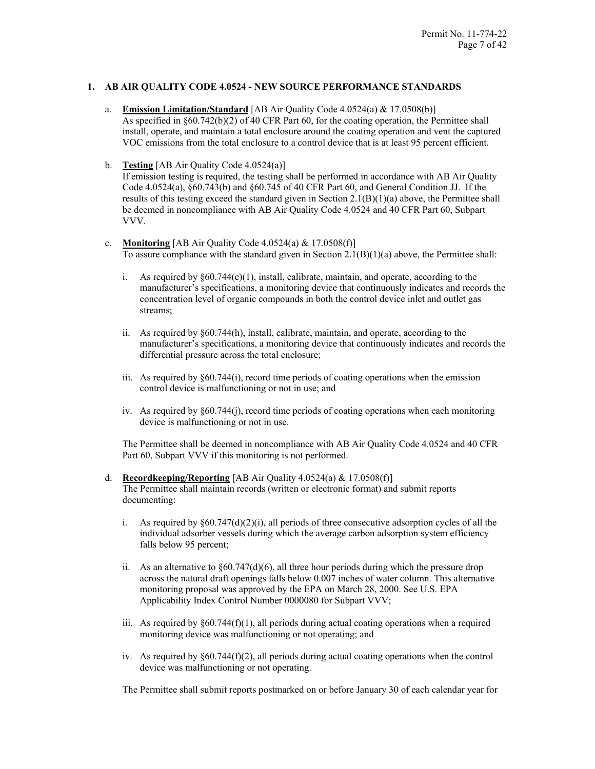# **1. AB AIR QUALITY CODE 4.0524 - NEW SOURCE PERFORMANCE STANDARDS**

- a. **Emission Limitation/Standard** [AB Air Quality Code 4.0524(a) & 17.0508(b)] As specified in §60.742(b)(2) of 40 CFR Part 60, for the coating operation, the Permittee shall install, operate, and maintain a total enclosure around the coating operation and vent the captured VOC emissions from the total enclosure to a control device that is at least 95 percent efficient.
- b. **Testing** [AB Air Quality Code 4.0524(a)]

If emission testing is required, the testing shall be performed in accordance with AB Air Quality Code 4.0524(a), §60.743(b) and §60.745 of 40 CFR Part 60, and General Condition JJ. If the results of this testing exceed the standard given in Section  $2.1(B)(1)(a)$  above, the Permittee shall be deemed in noncompliance with AB Air Quality Code 4.0524 and 40 CFR Part 60, Subpart VVV.

#### c. **Monitoring** [AB Air Quality Code 4.0524(a) & 17.0508(f)] To assure compliance with the standard given in Section  $2.1(B)(1)(a)$  above, the Permittee shall:

- i. As required by  $§60.744(c)(1)$ , install, calibrate, maintain, and operate, according to the manufacturer's specifications, a monitoring device that continuously indicates and records the concentration level of organic compounds in both the control device inlet and outlet gas streams;
- ii. As required by §60.744(h), install, calibrate, maintain, and operate, according to the manufacturer's specifications, a monitoring device that continuously indicates and records the differential pressure across the total enclosure;
- iii. As required by §60.744(i), record time periods of coating operations when the emission control device is malfunctioning or not in use; and
- iv. As required by §60.744(j), record time periods of coating operations when each monitoring device is malfunctioning or not in use.

The Permittee shall be deemed in noncompliance with AB Air Quality Code 4.0524 and 40 CFR Part 60, Subpart VVV if this monitoring is not performed.

- d. **Recordkeeping/Reporting** [AB Air Quality 4.0524(a) & 17.0508(f)] The Permittee shall maintain records (written or electronic format) and submit reports documenting:
	- i. As required by  $\S 60.747(d)(2)(i)$ , all periods of three consecutive adsorption cycles of all the individual adsorber vessels during which the average carbon adsorption system efficiency falls below 95 percent;
	- ii. As an alternative to  $\S 60.747(d)(6)$ , all three hour periods during which the pressure drop across the natural draft openings falls below 0.007 inches of water column. This alternative monitoring proposal was approved by the EPA on March 28, 2000. See U.S. EPA Applicability Index Control Number 0000080 for Subpart VVV;
	- iii. As required by  $\S 60.744(f)(1)$ , all periods during actual coating operations when a required monitoring device was malfunctioning or not operating; and
	- iv. As required by  $\S 60.744(f)(2)$ , all periods during actual coating operations when the control device was malfunctioning or not operating.

The Permittee shall submit reports postmarked on or before January 30 of each calendar year for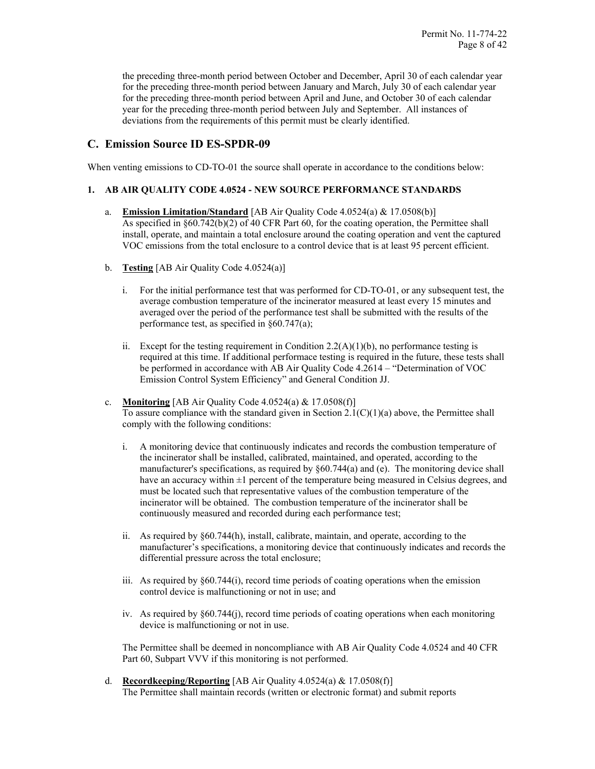the preceding three-month period between October and December, April 30 of each calendar year for the preceding three-month period between January and March, July 30 of each calendar year for the preceding three-month period between April and June, and October 30 of each calendar year for the preceding three-month period between July and September. All instances of deviations from the requirements of this permit must be clearly identified.

# **C. Emission Source ID ES-SPDR-09**

When venting emissions to CD-TO-01 the source shall operate in accordance to the conditions below:

# **1. AB AIR QUALITY CODE 4.0524 - NEW SOURCE PERFORMANCE STANDARDS**

- a. **Emission Limitation/Standard** [AB Air Quality Code 4.0524(a) & 17.0508(b)] As specified in §60.742(b)(2) of 40 CFR Part 60, for the coating operation, the Permittee shall install, operate, and maintain a total enclosure around the coating operation and vent the captured VOC emissions from the total enclosure to a control device that is at least 95 percent efficient.
- b. **Testing** [AB Air Quality Code 4.0524(a)]
	- i. For the initial performance test that was performed for CD-TO-01, or any subsequent test, the average combustion temperature of the incinerator measured at least every 15 minutes and averaged over the period of the performance test shall be submitted with the results of the performance test, as specified in §60.747(a);
	- ii. Except for the testing requirement in Condition 2.2(A)(1)(b), no performance testing is required at this time. If additional performace testing is required in the future, these tests shall be performed in accordance with AB Air Quality Code 4.2614 – "Determination of VOC Emission Control System Efficiency" and General Condition JJ.
- c. **Monitoring** [AB Air Quality Code 4.0524(a) & 17.0508(f)] To assure compliance with the standard given in Section  $2.1(C)(1)(a)$  above, the Permittee shall comply with the following conditions:
	- i. A monitoring device that continuously indicates and records the combustion temperature of the incinerator shall be installed, calibrated, maintained, and operated, according to the manufacturer's specifications, as required by  $§60.744(a)$  and (e). The monitoring device shall have an accuracy within  $\pm 1$  percent of the temperature being measured in Celsius degrees, and must be located such that representative values of the combustion temperature of the incinerator will be obtained. The combustion temperature of the incinerator shall be continuously measured and recorded during each performance test;
	- ii. As required by §60.744(h), install, calibrate, maintain, and operate, according to the manufacturer's specifications, a monitoring device that continuously indicates and records the differential pressure across the total enclosure;
	- iii. As required by §60.744(i), record time periods of coating operations when the emission control device is malfunctioning or not in use; and
	- iv. As required by §60.744(j), record time periods of coating operations when each monitoring device is malfunctioning or not in use.

The Permittee shall be deemed in noncompliance with AB Air Quality Code 4.0524 and 40 CFR Part 60, Subpart VVV if this monitoring is not performed.

d. **Recordkeeping/Reporting** [AB Air Quality 4.0524(a) & 17.0508(f)] The Permittee shall maintain records (written or electronic format) and submit reports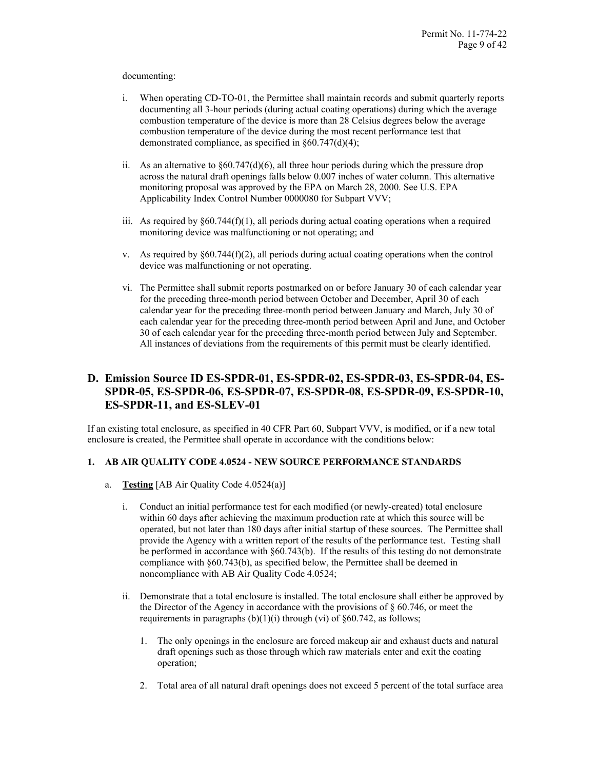#### documenting:

- i. When operating CD-TO-01, the Permittee shall maintain records and submit quarterly reports documenting all 3-hour periods (during actual coating operations) during which the average combustion temperature of the device is more than 28 Celsius degrees below the average combustion temperature of the device during the most recent performance test that demonstrated compliance, as specified in §60.747(d)(4);
- ii. As an alternative to  $\S60.747(d)(6)$ , all three hour periods during which the pressure drop across the natural draft openings falls below 0.007 inches of water column. This alternative monitoring proposal was approved by the EPA on March 28, 2000. See U.S. EPA Applicability Index Control Number 0000080 for Subpart VVV;
- iii. As required by  $\S 60.744(f)(1)$ , all periods during actual coating operations when a required monitoring device was malfunctioning or not operating; and
- v. As required by  $\S 60.744(f)(2)$ , all periods during actual coating operations when the control device was malfunctioning or not operating.
- vi. The Permittee shall submit reports postmarked on or before January 30 of each calendar year for the preceding three-month period between October and December, April 30 of each calendar year for the preceding three-month period between January and March, July 30 of each calendar year for the preceding three-month period between April and June, and October 30 of each calendar year for the preceding three-month period between July and September. All instances of deviations from the requirements of this permit must be clearly identified.

# **D. Emission Source ID ES-SPDR-01, ES-SPDR-02, ES-SPDR-03, ES-SPDR-04, ES-SPDR-05, ES-SPDR-06, ES-SPDR-07, ES-SPDR-08, ES-SPDR-09, ES-SPDR-10, ES-SPDR-11, and ES-SLEV-01**

If an existing total enclosure, as specified in 40 CFR Part 60, Subpart VVV, is modified, or if a new total enclosure is created, the Permittee shall operate in accordance with the conditions below:

# **1. AB AIR QUALITY CODE 4.0524 - NEW SOURCE PERFORMANCE STANDARDS**

- a. **Testing** [AB Air Quality Code 4.0524(a)]
	- i. Conduct an initial performance test for each modified (or newly-created) total enclosure within 60 days after achieving the maximum production rate at which this source will be operated, but not later than 180 days after initial startup of these sources. The Permittee shall provide the Agency with a written report of the results of the performance test. Testing shall be performed in accordance with §60.743(b). If the results of this testing do not demonstrate compliance with §60.743(b), as specified below, the Permittee shall be deemed in noncompliance with AB Air Quality Code 4.0524;
	- ii. Demonstrate that a total enclosure is installed. The total enclosure shall either be approved by the Director of the Agency in accordance with the provisions of § 60.746, or meet the requirements in paragraphs  $(b)(1)(i)$  through (vi) of §60.742, as follows;
		- 1. The only openings in the enclosure are forced makeup air and exhaust ducts and natural draft openings such as those through which raw materials enter and exit the coating operation;
		- 2. Total area of all natural draft openings does not exceed 5 percent of the total surface area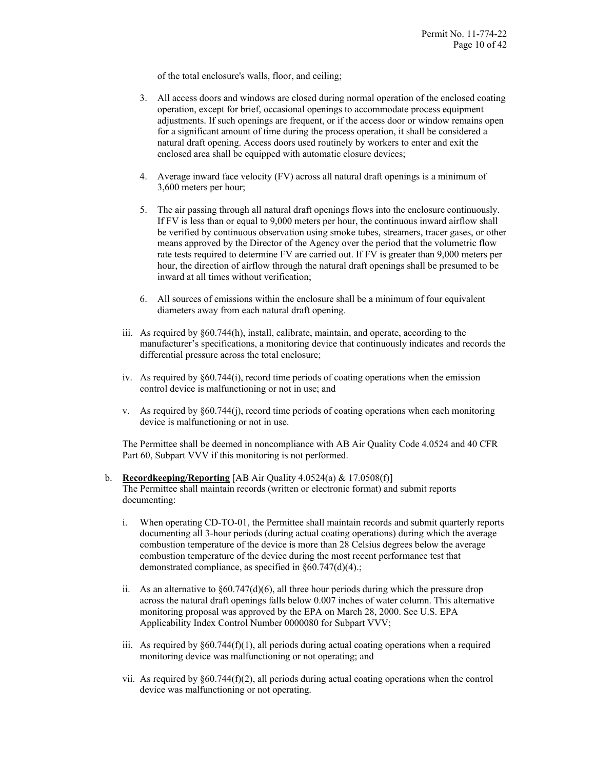of the total enclosure's walls, floor, and ceiling;

- 3. All access doors and windows are closed during normal operation of the enclosed coating operation, except for brief, occasional openings to accommodate process equipment adjustments. If such openings are frequent, or if the access door or window remains open for a significant amount of time during the process operation, it shall be considered a natural draft opening. Access doors used routinely by workers to enter and exit the enclosed area shall be equipped with automatic closure devices;
- 4. Average inward face velocity (FV) across all natural draft openings is a minimum of 3,600 meters per hour;
- 5. The air passing through all natural draft openings flows into the enclosure continuously. If FV is less than or equal to 9,000 meters per hour, the continuous inward airflow shall be verified by continuous observation using smoke tubes, streamers, tracer gases, or other means approved by the Director of the Agency over the period that the volumetric flow rate tests required to determine FV are carried out. If FV is greater than 9,000 meters per hour, the direction of airflow through the natural draft openings shall be presumed to be inward at all times without verification;
- 6. All sources of emissions within the enclosure shall be a minimum of four equivalent diameters away from each natural draft opening.
- iii. As required by §60.744(h), install, calibrate, maintain, and operate, according to the manufacturer's specifications, a monitoring device that continuously indicates and records the differential pressure across the total enclosure;
- iv. As required by §60.744(i), record time periods of coating operations when the emission control device is malfunctioning or not in use; and
- v. As required by §60.744(j), record time periods of coating operations when each monitoring device is malfunctioning or not in use.

The Permittee shall be deemed in noncompliance with AB Air Quality Code 4.0524 and 40 CFR Part 60, Subpart VVV if this monitoring is not performed.

- b. **Recordkeeping/Reporting** [AB Air Quality 4.0524(a) & 17.0508(f)] The Permittee shall maintain records (written or electronic format) and submit reports documenting:
	- i. When operating CD-TO-01, the Permittee shall maintain records and submit quarterly reports documenting all 3-hour periods (during actual coating operations) during which the average combustion temperature of the device is more than 28 Celsius degrees below the average combustion temperature of the device during the most recent performance test that demonstrated compliance, as specified in §60.747(d)(4).;
	- ii. As an alternative to  $\S 60.747(d)(6)$ , all three hour periods during which the pressure drop across the natural draft openings falls below 0.007 inches of water column. This alternative monitoring proposal was approved by the EPA on March 28, 2000. See U.S. EPA Applicability Index Control Number 0000080 for Subpart VVV;
	- iii. As required by  $\S 60.744(f)(1)$ , all periods during actual coating operations when a required monitoring device was malfunctioning or not operating; and
	- vii. As required by  $\S 60.744(f)(2)$ , all periods during actual coating operations when the control device was malfunctioning or not operating.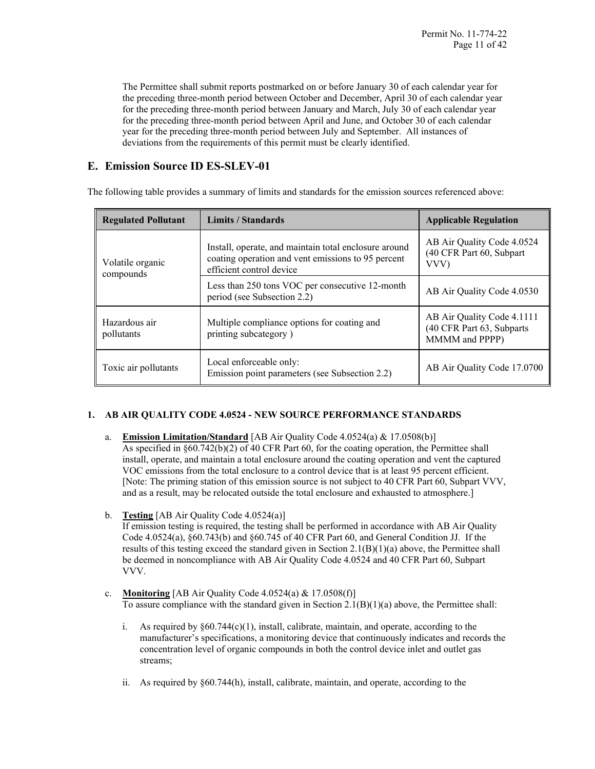The Permittee shall submit reports postmarked on or before January 30 of each calendar year for the preceding three-month period between October and December, April 30 of each calendar year for the preceding three-month period between January and March, July 30 of each calendar year for the preceding three-month period between April and June, and October 30 of each calendar year for the preceding three-month period between July and September. All instances of deviations from the requirements of this permit must be clearly identified.

# **E. Emission Source ID ES-SLEV-01**

The following table provides a summary of limits and standards for the emission sources referenced above:

| <b>Regulated Pollutant</b>    | <b>Limits / Standards</b>                                                                                                               | <b>Applicable Regulation</b>                                              |
|-------------------------------|-----------------------------------------------------------------------------------------------------------------------------------------|---------------------------------------------------------------------------|
| Volatile organic<br>compounds | Install, operate, and maintain total enclosure around<br>coating operation and vent emissions to 95 percent<br>efficient control device | AB Air Quality Code 4.0524<br>(40 CFR Part 60, Subpart<br>VVV)            |
|                               | Less than 250 tons VOC per consecutive 12-month<br>period (see Subsection 2.2)                                                          | AB Air Quality Code 4.0530                                                |
| Hazardous air<br>pollutants   | Multiple compliance options for coating and<br>printing subcategory)                                                                    | AB Air Quality Code 4.1111<br>(40 CFR Part 63, Subparts<br>MMMM and PPPP) |
| Toxic air pollutants          | Local enforceable only:<br>Emission point parameters (see Subsection 2.2)                                                               | AB Air Quality Code 17.0700                                               |

# **1. AB AIR QUALITY CODE 4.0524 - NEW SOURCE PERFORMANCE STANDARDS**

- a. **Emission Limitation/Standard** [AB Air Quality Code 4.0524(a) & 17.0508(b)] As specified in §60.742(b)(2) of 40 CFR Part 60, for the coating operation, the Permittee shall install, operate, and maintain a total enclosure around the coating operation and vent the captured VOC emissions from the total enclosure to a control device that is at least 95 percent efficient. [Note: The priming station of this emission source is not subject to 40 CFR Part 60, Subpart VVV, and as a result, may be relocated outside the total enclosure and exhausted to atmosphere.]
- b. **Testing** [AB Air Quality Code 4.0524(a)]

If emission testing is required, the testing shall be performed in accordance with AB Air Quality Code 4.0524(a), §60.743(b) and §60.745 of 40 CFR Part 60, and General Condition JJ. If the results of this testing exceed the standard given in Section  $2.1(B)(1)(a)$  above, the Permittee shall be deemed in noncompliance with AB Air Quality Code 4.0524 and 40 CFR Part 60, Subpart VVV.

- c. **Monitoring** [AB Air Quality Code 4.0524(a) & 17.0508(f)] To assure compliance with the standard given in Section  $2.1(B)(1)(a)$  above, the Permittee shall:
	- i. As required by  $\S60.744(c)(1)$ , install, calibrate, maintain, and operate, according to the manufacturer's specifications, a monitoring device that continuously indicates and records the concentration level of organic compounds in both the control device inlet and outlet gas streams;
	- ii. As required by §60.744(h), install, calibrate, maintain, and operate, according to the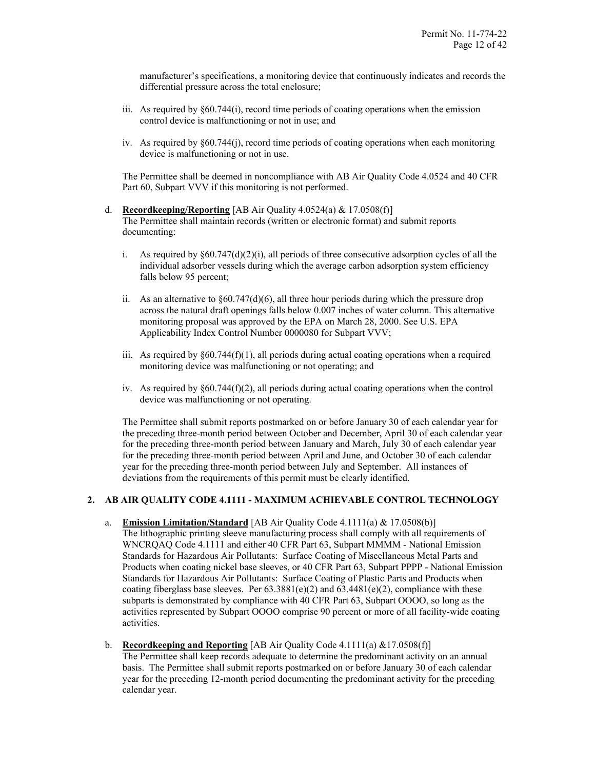manufacturer's specifications, a monitoring device that continuously indicates and records the differential pressure across the total enclosure;

- iii. As required by §60.744(i), record time periods of coating operations when the emission control device is malfunctioning or not in use; and
- iv. As required by §60.744(j), record time periods of coating operations when each monitoring device is malfunctioning or not in use.

The Permittee shall be deemed in noncompliance with AB Air Quality Code 4.0524 and 40 CFR Part 60, Subpart VVV if this monitoring is not performed.

- d. **Recordkeeping/Reporting** [AB Air Quality 4.0524(a) & 17.0508(f)] The Permittee shall maintain records (written or electronic format) and submit reports documenting:
	- i. As required by  $§60.747(d)(2)(i)$ , all periods of three consecutive adsorption cycles of all the individual adsorber vessels during which the average carbon adsorption system efficiency falls below 95 percent;
	- ii. As an alternative to  $\S 60.747(d)(6)$ , all three hour periods during which the pressure drop across the natural draft openings falls below 0.007 inches of water column. This alternative monitoring proposal was approved by the EPA on March 28, 2000. See U.S. EPA Applicability Index Control Number 0000080 for Subpart VVV;
	- iii. As required by  $\S 60.744(f)(1)$ , all periods during actual coating operations when a required monitoring device was malfunctioning or not operating; and
	- iv. As required by  $§60.744(f)(2)$ , all periods during actual coating operations when the control device was malfunctioning or not operating.

The Permittee shall submit reports postmarked on or before January 30 of each calendar year for the preceding three-month period between October and December, April 30 of each calendar year for the preceding three-month period between January and March, July 30 of each calendar year for the preceding three-month period between April and June, and October 30 of each calendar year for the preceding three-month period between July and September. All instances of deviations from the requirements of this permit must be clearly identified.

# **2. AB AIR QUALITY CODE 4.1111 - MAXIMUM ACHIEVABLE CONTROL TECHNOLOGY**

- a. **Emission Limitation/Standard** [AB Air Quality Code 4.1111(a) & 17.0508(b)] The lithographic printing sleeve manufacturing process shall comply with all requirements of WNCRQAQ Code 4.1111 and either 40 CFR Part 63, Subpart MMMM - National Emission Standards for Hazardous Air Pollutants: Surface Coating of Miscellaneous Metal Parts and Products when coating nickel base sleeves, or 40 CFR Part 63, Subpart PPPP - National Emission Standards for Hazardous Air Pollutants: Surface Coating of Plastic Parts and Products when coating fiberglass base sleeves. Per  $63.3881(e)(2)$  and  $63.4481(e)(2)$ , compliance with these subparts is demonstrated by compliance with 40 CFR Part 63, Subpart OOOO, so long as the activities represented by Subpart OOOO comprise 90 percent or more of all facility-wide coating activities.
- b. **Recordkeeping and Reporting** [AB Air Quality Code 4.1111(a) &17.0508(f)] The Permittee shall keep records adequate to determine the predominant activity on an annual basis. The Permittee shall submit reports postmarked on or before January 30 of each calendar year for the preceding 12-month period documenting the predominant activity for the preceding calendar year.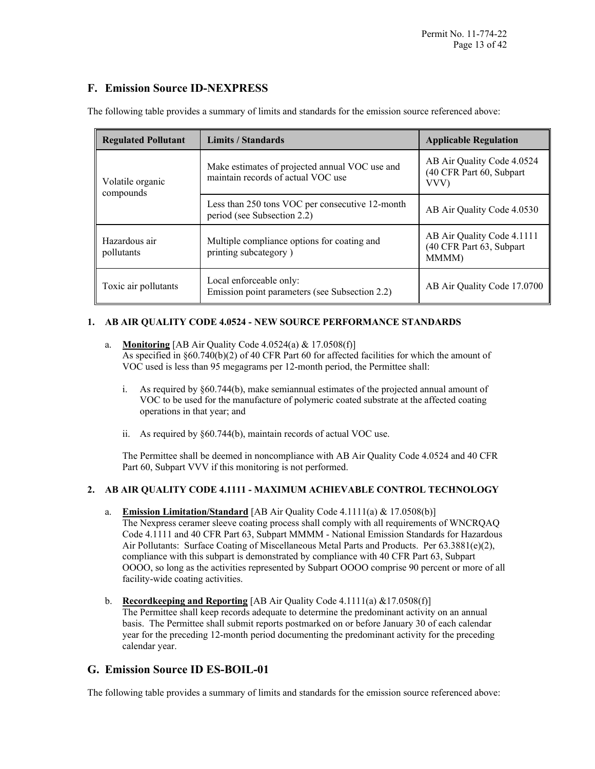# **F. Emission Source ID-NEXPRESS**

| <b>Regulated Pollutant</b>  | Limits / Standards                                                                   | <b>Applicable Regulation</b>                                    |
|-----------------------------|--------------------------------------------------------------------------------------|-----------------------------------------------------------------|
| Volatile organic            | Make estimates of projected annual VOC use and<br>maintain records of actual VOC use | AB Air Quality Code 4.0524<br>(40 CFR Part 60, Subpart<br>VVV)  |
| compounds                   | Less than 250 tons VOC per consecutive 12-month<br>period (see Subsection 2.2)       | AB Air Quality Code 4.0530                                      |
| Hazardous air<br>pollutants | Multiple compliance options for coating and<br>printing subcategory)                 | AB Air Quality Code 4.1111<br>(40 CFR Part 63, Subpart<br>MMMM) |
| Toxic air pollutants        | Local enforceable only:<br>Emission point parameters (see Subsection 2.2)            | AB Air Quality Code 17.0700                                     |

The following table provides a summary of limits and standards for the emission source referenced above:

# **1. AB AIR QUALITY CODE 4.0524 - NEW SOURCE PERFORMANCE STANDARDS**

- a. **Monitoring** [AB Air Quality Code 4.0524(a) & 17.0508(f)] As specified in §60.740(b)(2) of 40 CFR Part 60 for affected facilities for which the amount of VOC used is less than 95 megagrams per 12-month period, the Permittee shall:
	- i. As required by §60.744(b), make semiannual estimates of the projected annual amount of VOC to be used for the manufacture of polymeric coated substrate at the affected coating operations in that year; and
	- ii. As required by §60.744(b), maintain records of actual VOC use.

The Permittee shall be deemed in noncompliance with AB Air Quality Code 4.0524 and 40 CFR Part 60, Subpart VVV if this monitoring is not performed.

# **2. AB AIR QUALITY CODE 4.1111 - MAXIMUM ACHIEVABLE CONTROL TECHNOLOGY**

- a. **Emission Limitation/Standard** [AB Air Quality Code 4.1111(a) & 17.0508(b)] The Nexpress ceramer sleeve coating process shall comply with all requirements of WNCRQAQ Code 4.1111 and 40 CFR Part 63, Subpart MMMM - National Emission Standards for Hazardous Air Pollutants: Surface Coating of Miscellaneous Metal Parts and Products. Per 63.3881(e)(2), compliance with this subpart is demonstrated by compliance with 40 CFR Part 63, Subpart OOOO, so long as the activities represented by Subpart OOOO comprise 90 percent or more of all facility-wide coating activities.
- b. **Recordkeeping and Reporting** [AB Air Quality Code 4.1111(a) &17.0508(f)] The Permittee shall keep records adequate to determine the predominant activity on an annual basis. The Permittee shall submit reports postmarked on or before January 30 of each calendar year for the preceding 12-month period documenting the predominant activity for the preceding calendar year.

# **G. Emission Source ID ES-BOIL-01**

The following table provides a summary of limits and standards for the emission source referenced above: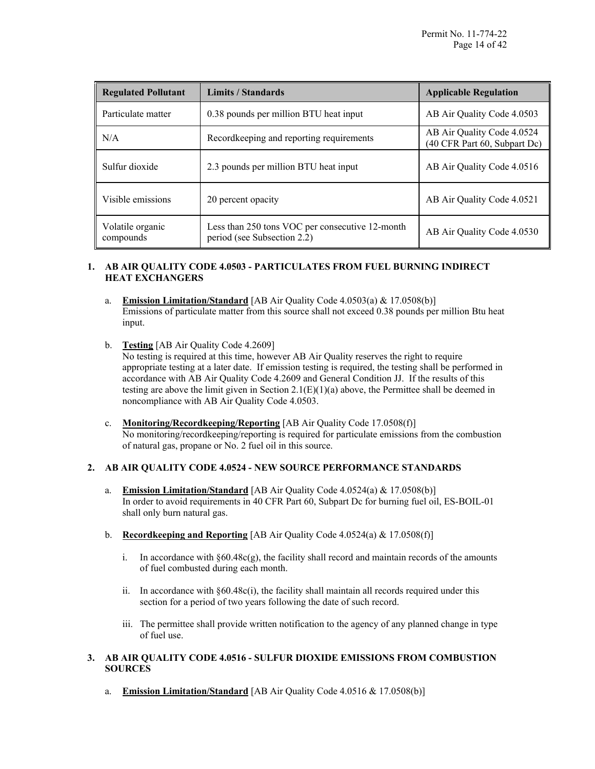| <b>Regulated Pollutant</b>    | Limits / Standards                                                             | <b>Applicable Regulation</b>                               |
|-------------------------------|--------------------------------------------------------------------------------|------------------------------------------------------------|
| Particulate matter            | 0.38 pounds per million BTU heat input                                         | AB Air Quality Code 4.0503                                 |
| N/A                           | Recordkeeping and reporting requirements                                       | AB Air Quality Code 4.0524<br>(40 CFR Part 60, Subpart Dc) |
| Sulfur dioxide                | 2.3 pounds per million BTU heat input                                          | AB Air Quality Code 4.0516                                 |
| Visible emissions             | 20 percent opacity                                                             | AB Air Quality Code 4.0521                                 |
| Volatile organic<br>compounds | Less than 250 tons VOC per consecutive 12-month<br>period (see Subsection 2.2) | AB Air Quality Code 4.0530                                 |

# **1. AB AIR QUALITY CODE 4.0503 - PARTICULATES FROM FUEL BURNING INDIRECT HEAT EXCHANGERS**

- a. **Emission Limitation/Standard** [AB Air Quality Code 4.0503(a) & 17.0508(b)] Emissions of particulate matter from this source shall not exceed 0.38 pounds per million Btu heat input.
- b. **Testing** [AB Air Quality Code 4.2609] No testing is required at this time, however AB Air Quality reserves the right to require appropriate testing at a later date. If emission testing is required, the testing shall be performed in accordance with AB Air Quality Code 4.2609 and General Condition JJ. If the results of this testing are above the limit given in Section 2.1(E)(1)(a) above, the Permittee shall be deemed in noncompliance with AB Air Quality Code 4.0503.
- c. **Monitoring/Recordkeeping/Reporting** [AB Air Quality Code 17.0508(f)] No monitoring/recordkeeping/reporting is required for particulate emissions from the combustion of natural gas, propane or No. 2 fuel oil in this source.

# **2. AB AIR QUALITY CODE 4.0524 - NEW SOURCE PERFORMANCE STANDARDS**

- a. **Emission Limitation/Standard** [AB Air Quality Code 4.0524(a) & 17.0508(b)] In order to avoid requirements in 40 CFR Part 60, Subpart Dc for burning fuel oil, ES-BOIL-01 shall only burn natural gas.
- b. **Recordkeeping and Reporting** [AB Air Quality Code 4.0524(a) & 17.0508(f)]
	- i. In accordance with §60.48c(g), the facility shall record and maintain records of the amounts of fuel combusted during each month.
	- ii. In accordance with §60.48c(i), the facility shall maintain all records required under this section for a period of two years following the date of such record.
	- iii. The permittee shall provide written notification to the agency of any planned change in type of fuel use.

# **3. AB AIR QUALITY CODE 4.0516 - SULFUR DIOXIDE EMISSIONS FROM COMBUSTION SOURCES**

a. **Emission Limitation/Standard** [AB Air Quality Code 4.0516 & 17.0508(b)]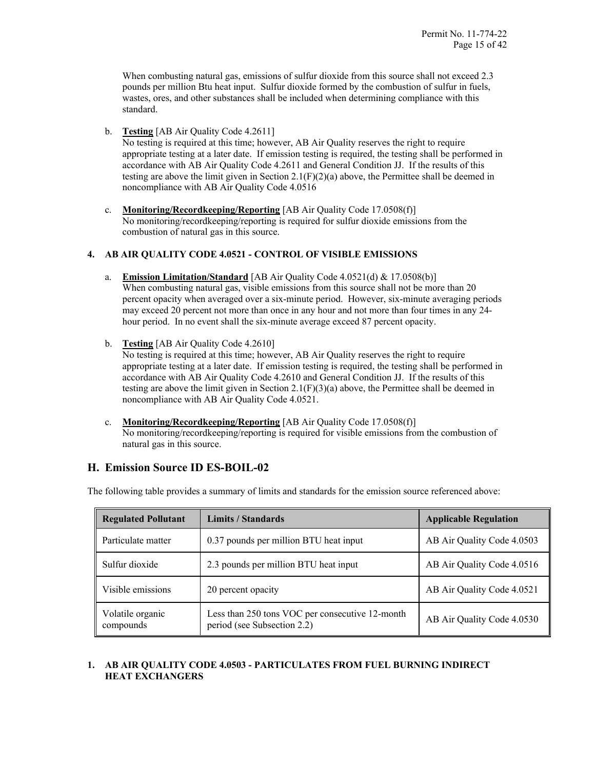When combusting natural gas, emissions of sulfur dioxide from this source shall not exceed 2.3 pounds per million Btu heat input. Sulfur dioxide formed by the combustion of sulfur in fuels, wastes, ores, and other substances shall be included when determining compliance with this standard.

b. **Testing** [AB Air Quality Code 4.2611]

No testing is required at this time; however, AB Air Quality reserves the right to require appropriate testing at a later date. If emission testing is required, the testing shall be performed in accordance with AB Air Quality Code 4.2611 and General Condition JJ. If the results of this testing are above the limit given in Section  $2.1(F)(2)(a)$  above, the Permittee shall be deemed in noncompliance with AB Air Quality Code 4.0516

c. **Monitoring/Recordkeeping/Reporting** [AB Air Quality Code 17.0508(f)] No monitoring/recordkeeping/reporting is required for sulfur dioxide emissions from the combustion of natural gas in this source.

# **4. AB AIR QUALITY CODE 4.0521 - CONTROL OF VISIBLE EMISSIONS**

- a. **Emission Limitation/Standard** [AB Air Quality Code 4.0521(d) & 17.0508(b)] When combusting natural gas, visible emissions from this source shall not be more than 20 percent opacity when averaged over a six-minute period. However, six-minute averaging periods may exceed 20 percent not more than once in any hour and not more than four times in any 24hour period. In no event shall the six-minute average exceed 87 percent opacity.
- b. **Testing** [AB Air Quality Code 4.2610] No testing is required at this time; however, AB Air Quality reserves the right to require appropriate testing at a later date. If emission testing is required, the testing shall be performed in accordance with AB Air Quality Code 4.2610 and General Condition JJ. If the results of this testing are above the limit given in Section  $2.1(F)(3)(a)$  above, the Permittee shall be deemed in noncompliance with AB Air Quality Code 4.0521.
- c. **Monitoring/Recordkeeping/Reporting** [AB Air Quality Code 17.0508(f)] No monitoring/recordkeeping/reporting is required for visible emissions from the combustion of natural gas in this source.

# **H. Emission Source ID ES-BOIL-02**

The following table provides a summary of limits and standards for the emission source referenced above:

| <b>Regulated Pollutant</b>    | <b>Limits / Standards</b>                                                      | <b>Applicable Regulation</b> |
|-------------------------------|--------------------------------------------------------------------------------|------------------------------|
| Particulate matter            | 0.37 pounds per million BTU heat input                                         | AB Air Quality Code 4.0503   |
| Sulfur dioxide                | 2.3 pounds per million BTU heat input                                          | AB Air Quality Code 4.0516   |
| Visible emissions             | 20 percent opacity                                                             | AB Air Quality Code 4.0521   |
| Volatile organic<br>compounds | Less than 250 tons VOC per consecutive 12-month<br>period (see Subsection 2.2) | AB Air Quality Code 4.0530   |

# **1. AB AIR QUALITY CODE 4.0503 - PARTICULATES FROM FUEL BURNING INDIRECT HEAT EXCHANGERS**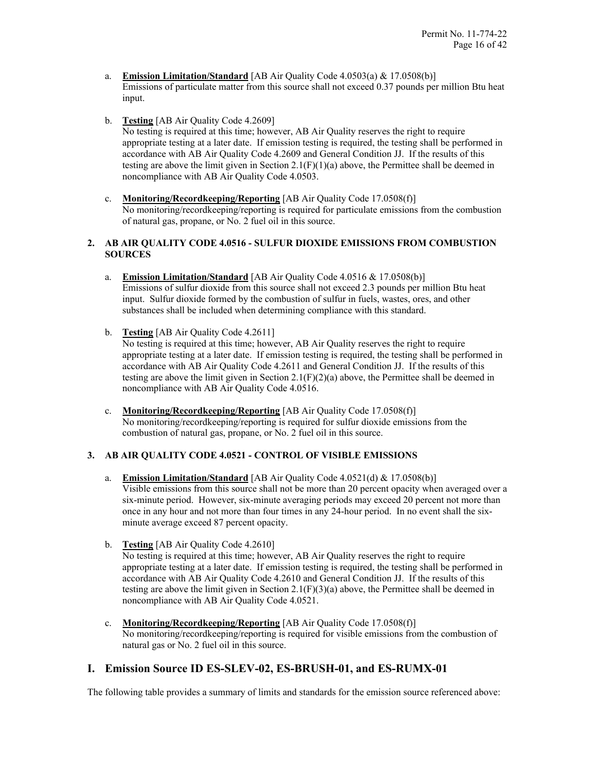- a. **Emission Limitation/Standard** [AB Air Quality Code 4.0503(a) & 17.0508(b)] Emissions of particulate matter from this source shall not exceed 0.37 pounds per million Btu heat input.
- b. **Testing** [AB Air Quality Code 4.2609] No testing is required at this time; however, AB Air Quality reserves the right to require appropriate testing at a later date. If emission testing is required, the testing shall be performed in accordance with AB Air Quality Code 4.2609 and General Condition JJ. If the results of this testing are above the limit given in Section  $2.1(F)(1)(a)$  above, the Permittee shall be deemed in noncompliance with AB Air Quality Code 4.0503.
- c. **Monitoring/Recordkeeping/Reporting** [AB Air Quality Code 17.0508(f)] No monitoring/recordkeeping/reporting is required for particulate emissions from the combustion of natural gas, propane, or No. 2 fuel oil in this source.

# **2. AB AIR QUALITY CODE 4.0516 - SULFUR DIOXIDE EMISSIONS FROM COMBUSTION SOURCES**

- a. **Emission Limitation/Standard** [AB Air Quality Code 4.0516 & 17.0508(b)] Emissions of sulfur dioxide from this source shall not exceed 2.3 pounds per million Btu heat input. Sulfur dioxide formed by the combustion of sulfur in fuels, wastes, ores, and other substances shall be included when determining compliance with this standard.
- b. **Testing** [AB Air Quality Code 4.2611] No testing is required at this time; however, AB Air Quality reserves the right to require appropriate testing at a later date. If emission testing is required, the testing shall be performed in accordance with AB Air Quality Code 4.2611 and General Condition JJ. If the results of this testing are above the limit given in Section 2.1(F)(2)(a) above, the Permittee shall be deemed in noncompliance with AB Air Quality Code 4.0516.
- c. **Monitoring/Recordkeeping/Reporting** [AB Air Quality Code 17.0508(f)] No monitoring/recordkeeping/reporting is required for sulfur dioxide emissions from the combustion of natural gas, propane, or No. 2 fuel oil in this source.

# **3. AB AIR QUALITY CODE 4.0521 - CONTROL OF VISIBLE EMISSIONS**

- a. **Emission Limitation/Standard** [AB Air Quality Code 4.0521(d) & 17.0508(b)] Visible emissions from this source shall not be more than 20 percent opacity when averaged over a six-minute period. However, six-minute averaging periods may exceed 20 percent not more than once in any hour and not more than four times in any 24-hour period. In no event shall the sixminute average exceed 87 percent opacity.
- b. **Testing** [AB Air Quality Code 4.2610]

No testing is required at this time; however, AB Air Quality reserves the right to require appropriate testing at a later date. If emission testing is required, the testing shall be performed in accordance with AB Air Quality Code 4.2610 and General Condition JJ. If the results of this testing are above the limit given in Section 2.1(F)(3)(a) above, the Permittee shall be deemed in noncompliance with AB Air Quality Code 4.0521.

c. **Monitoring/Recordkeeping/Reporting** [AB Air Quality Code 17.0508(f)] No monitoring/recordkeeping/reporting is required for visible emissions from the combustion of natural gas or No. 2 fuel oil in this source.

# **I. Emission Source ID ES-SLEV-02, ES-BRUSH-01, and ES-RUMX-01**

The following table provides a summary of limits and standards for the emission source referenced above: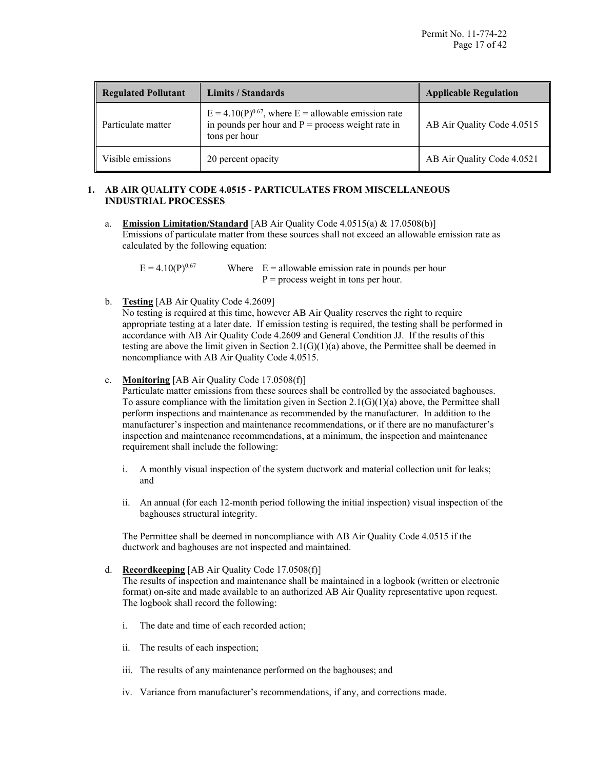| <b>Regulated Pollutant</b> | Limits / Standards                                                                                                                 | <b>Applicable Regulation</b> |
|----------------------------|------------------------------------------------------------------------------------------------------------------------------------|------------------------------|
| Particulate matter         | $E = 4.10(P)^{0.67}$ , where $E =$ allowable emission rate<br>in pounds per hour and $P =$ process weight rate in<br>tons per hour | AB Air Quality Code 4.0515   |
| Visible emissions          | 20 percent opacity                                                                                                                 | AB Air Quality Code 4.0521   |

# **1. AB AIR QUALITY CODE 4.0515 - PARTICULATES FROM MISCELLANEOUS INDUSTRIAL PROCESSES**

a. **Emission Limitation/Standard** [AB Air Quality Code 4.0515(a) & 17.0508(b)] Emissions of particulate matter from these sources shall not exceed an allowable emission rate as calculated by the following equation:

 $E = 4.10(P)^{0.67}$  Where  $E =$  allowable emission rate in pounds per hour  $P =$  process weight in tons per hour.

b. **Testing** [AB Air Quality Code 4.2609]

No testing is required at this time, however AB Air Quality reserves the right to require appropriate testing at a later date. If emission testing is required, the testing shall be performed in accordance with AB Air Quality Code 4.2609 and General Condition JJ. If the results of this testing are above the limit given in Section  $2.1(G)(1)(a)$  above, the Permittee shall be deemed in noncompliance with AB Air Quality Code 4.0515.

c. **Monitoring** [AB Air Quality Code 17.0508(f)]

Particulate matter emissions from these sources shall be controlled by the associated baghouses. To assure compliance with the limitation given in Section  $2.1(G)(1)(a)$  above, the Permittee shall perform inspections and maintenance as recommended by the manufacturer. In addition to the manufacturer's inspection and maintenance recommendations, or if there are no manufacturer's inspection and maintenance recommendations, at a minimum, the inspection and maintenance requirement shall include the following:

- i. A monthly visual inspection of the system ductwork and material collection unit for leaks; and
- ii. An annual (for each 12-month period following the initial inspection) visual inspection of the baghouses structural integrity.

The Permittee shall be deemed in noncompliance with AB Air Quality Code 4.0515 if the ductwork and baghouses are not inspected and maintained.

d. **Recordkeeping** [AB Air Quality Code 17.0508(f)]

The results of inspection and maintenance shall be maintained in a logbook (written or electronic format) on-site and made available to an authorized AB Air Quality representative upon request. The logbook shall record the following:

- i. The date and time of each recorded action;
- ii. The results of each inspection;
- iii. The results of any maintenance performed on the baghouses; and
- iv. Variance from manufacturer's recommendations, if any, and corrections made.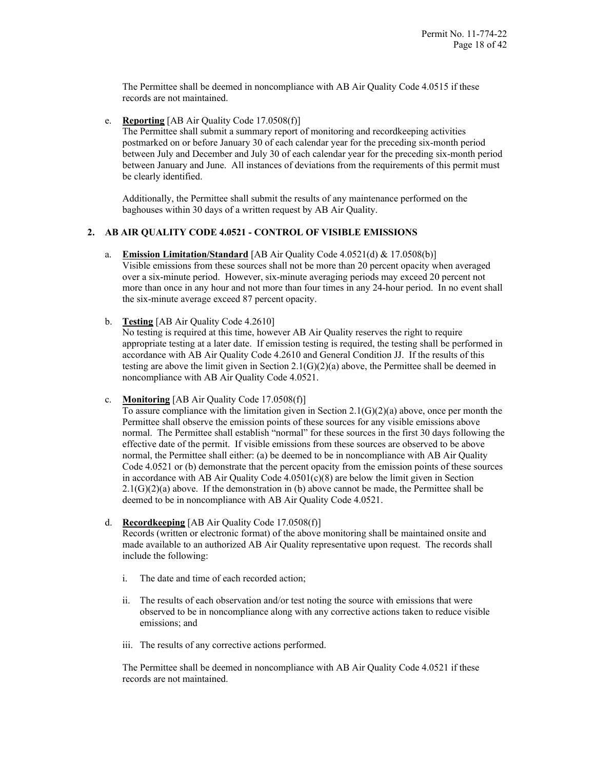The Permittee shall be deemed in noncompliance with AB Air Quality Code 4.0515 if these records are not maintained.

e. **Reporting** [AB Air Quality Code 17.0508(f)]

The Permittee shall submit a summary report of monitoring and recordkeeping activities postmarked on or before January 30 of each calendar year for the preceding six-month period between July and December and July 30 of each calendar year for the preceding six-month period between January and June. All instances of deviations from the requirements of this permit must be clearly identified.

Additionally, the Permittee shall submit the results of any maintenance performed on the baghouses within 30 days of a written request by AB Air Quality.

# **2. AB AIR QUALITY CODE 4.0521 - CONTROL OF VISIBLE EMISSIONS**

- a. **Emission Limitation/Standard** [AB Air Quality Code 4.0521(d) & 17.0508(b)] Visible emissions from these sources shall not be more than 20 percent opacity when averaged over a six-minute period. However, six-minute averaging periods may exceed 20 percent not more than once in any hour and not more than four times in any 24-hour period. In no event shall the six-minute average exceed 87 percent opacity.
- b. **Testing** [AB Air Quality Code 4.2610]

No testing is required at this time, however AB Air Quality reserves the right to require appropriate testing at a later date. If emission testing is required, the testing shall be performed in accordance with AB Air Quality Code 4.2610 and General Condition JJ. If the results of this testing are above the limit given in Section 2.1(G)(2)(a) above, the Permittee shall be deemed in noncompliance with AB Air Quality Code 4.0521.

c. **Monitoring** [AB Air Quality Code 17.0508(f)]

To assure compliance with the limitation given in Section  $2.1(G)(2)(a)$  above, once per month the Permittee shall observe the emission points of these sources for any visible emissions above normal. The Permittee shall establish "normal" for these sources in the first 30 days following the effective date of the permit. If visible emissions from these sources are observed to be above normal, the Permittee shall either: (a) be deemed to be in noncompliance with AB Air Quality Code 4.0521 or (b) demonstrate that the percent opacity from the emission points of these sources in accordance with AB Air Quality Code  $4.0501(c)(8)$  are below the limit given in Section  $2.1(G)(2)(a)$  above. If the demonstration in (b) above cannot be made, the Permittee shall be deemed to be in noncompliance with AB Air Quality Code 4.0521.

d. **Recordkeeping** [AB Air Quality Code 17.0508(f)]

Records (written or electronic format) of the above monitoring shall be maintained onsite and made available to an authorized AB Air Quality representative upon request. The records shall include the following:

- i. The date and time of each recorded action;
- ii. The results of each observation and/or test noting the source with emissions that were observed to be in noncompliance along with any corrective actions taken to reduce visible emissions; and
- iii. The results of any corrective actions performed.

The Permittee shall be deemed in noncompliance with AB Air Quality Code 4.0521 if these records are not maintained.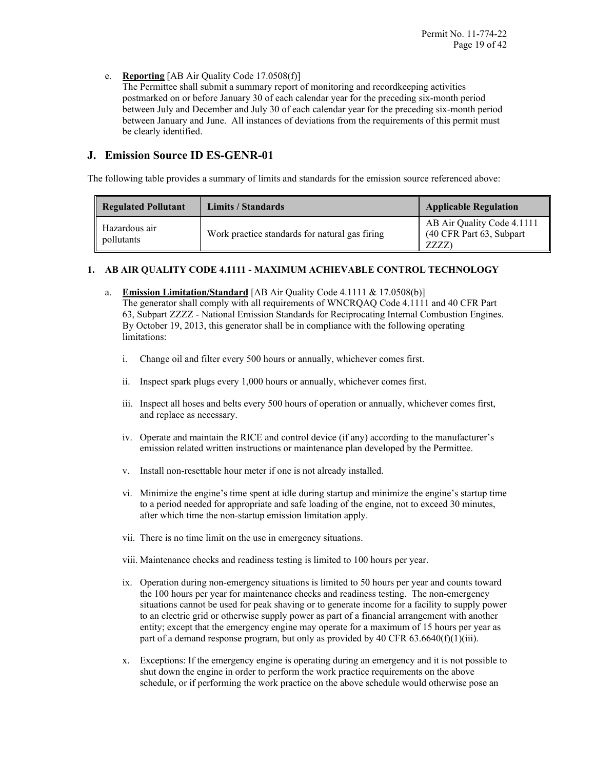# e. **Reporting** [AB Air Quality Code 17.0508(f)]

The Permittee shall submit a summary report of monitoring and recordkeeping activities postmarked on or before January 30 of each calendar year for the preceding six-month period between July and December and July 30 of each calendar year for the preceding six-month period between January and June. All instances of deviations from the requirements of this permit must be clearly identified.

# **J. Emission Source ID ES-GENR-01**

The following table provides a summary of limits and standards for the emission source referenced above:

| <b>Regulated Pollutant</b>  | Limits / Standards                             | <b>Applicable Regulation</b>                                    |
|-----------------------------|------------------------------------------------|-----------------------------------------------------------------|
| Hazardous air<br>pollutants | Work practice standards for natural gas firing | AB Air Quality Code 4.1111<br>(40 CFR Part 63, Subpart)<br>ZZZZ |

# **1. AB AIR QUALITY CODE 4.1111 - MAXIMUM ACHIEVABLE CONTROL TECHNOLOGY**

- a. **Emission Limitation/Standard** [AB Air Quality Code 4.1111 & 17.0508(b)] The generator shall comply with all requirements of WNCRQAQ Code 4.1111 and 40 CFR Part 63, Subpart ZZZZ - National Emission Standards for Reciprocating Internal Combustion Engines. By October 19, 2013, this generator shall be in compliance with the following operating limitations:
	- i. Change oil and filter every 500 hours or annually, whichever comes first.
	- ii. Inspect spark plugs every 1,000 hours or annually, whichever comes first.
	- iii. Inspect all hoses and belts every 500 hours of operation or annually, whichever comes first, and replace as necessary.
	- iv. Operate and maintain the RICE and control device (if any) according to the manufacturer's emission related written instructions or maintenance plan developed by the Permittee.
	- v. Install non-resettable hour meter if one is not already installed.
	- vi. Minimize the engine's time spent at idle during startup and minimize the engine's startup time to a period needed for appropriate and safe loading of the engine, not to exceed 30 minutes, after which time the non-startup emission limitation apply.
	- vii. There is no time limit on the use in emergency situations.
	- viii. Maintenance checks and readiness testing is limited to 100 hours per year.
	- ix. Operation during non-emergency situations is limited to 50 hours per year and counts toward the 100 hours per year for maintenance checks and readiness testing. The non-emergency situations cannot be used for peak shaving or to generate income for a facility to supply power to an electric grid or otherwise supply power as part of a financial arrangement with another entity; except that the emergency engine may operate for a maximum of 15 hours per year as part of a demand response program, but only as provided by 40 CFR  $63.6640(f)(1)(iii)$ .
	- x. Exceptions: If the emergency engine is operating during an emergency and it is not possible to shut down the engine in order to perform the work practice requirements on the above schedule, or if performing the work practice on the above schedule would otherwise pose an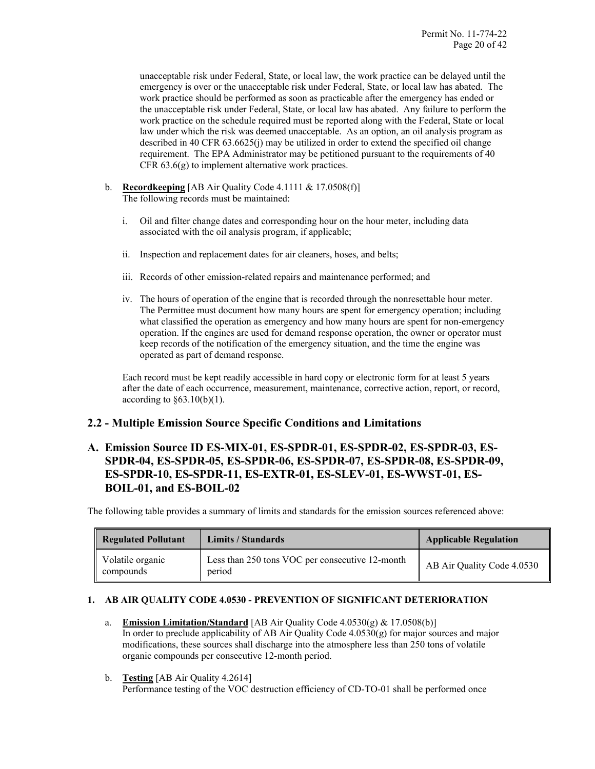unacceptable risk under Federal, State, or local law, the work practice can be delayed until the emergency is over or the unacceptable risk under Federal, State, or local law has abated. The work practice should be performed as soon as practicable after the emergency has ended or the unacceptable risk under Federal, State, or local law has abated. Any failure to perform the work practice on the schedule required must be reported along with the Federal, State or local law under which the risk was deemed unacceptable. As an option, an oil analysis program as described in 40 CFR 63.6625(j) may be utilized in order to extend the specified oil change requirement. The EPA Administrator may be petitioned pursuant to the requirements of 40 CFR 63.6(g) to implement alternative work practices.

- b. **Recordkeeping** [AB Air Quality Code 4.1111 & 17.0508(f)] The following records must be maintained:
	- i. Oil and filter change dates and corresponding hour on the hour meter, including data associated with the oil analysis program, if applicable;
	- ii. Inspection and replacement dates for air cleaners, hoses, and belts;
	- iii. Records of other emission-related repairs and maintenance performed; and
	- iv. The hours of operation of the engine that is recorded through the nonresettable hour meter. The Permittee must document how many hours are spent for emergency operation; including what classified the operation as emergency and how many hours are spent for non-emergency operation. If the engines are used for demand response operation, the owner or operator must keep records of the notification of the emergency situation, and the time the engine was operated as part of demand response.

Each record must be kept readily accessible in hard copy or electronic form for at least 5 years after the date of each occurrence, measurement, maintenance, corrective action, report, or record, according to  $\S 63.10(b)(1)$ .

# **2.2 - Multiple Emission Source Specific Conditions and Limitations**

# **A. Emission Source ID ES-MIX-01, ES-SPDR-01, ES-SPDR-02, ES-SPDR-03, ES-SPDR-04, ES-SPDR-05, ES-SPDR-06, ES-SPDR-07, ES-SPDR-08, ES-SPDR-09, ES-SPDR-10, ES-SPDR-11, ES-EXTR-01, ES-SLEV-01, ES-WWST-01, ES-BOIL-01, and ES-BOIL-02**

The following table provides a summary of limits and standards for the emission sources referenced above:

| <b>Regulated Pollutant</b>    | Limits / Standards                                        | <b>Applicable Regulation</b> |
|-------------------------------|-----------------------------------------------------------|------------------------------|
| Volatile organic<br>compounds | Less than 250 tons VOC per consecutive 12-month<br>period | AB Air Quality Code 4.0530   |

# **1. AB AIR QUALITY CODE 4.0530 - PREVENTION OF SIGNIFICANT DETERIORATION**

- a. **Emission Limitation/Standard** [AB Air Quality Code 4.0530(g) & 17.0508(b)] In order to preclude applicability of AB Air Quality Code 4.0530(g) for major sources and major modifications, these sources shall discharge into the atmosphere less than 250 tons of volatile organic compounds per consecutive 12-month period.
- b. **Testing** [AB Air Quality 4.2614] Performance testing of the VOC destruction efficiency of CD-TO-01 shall be performed once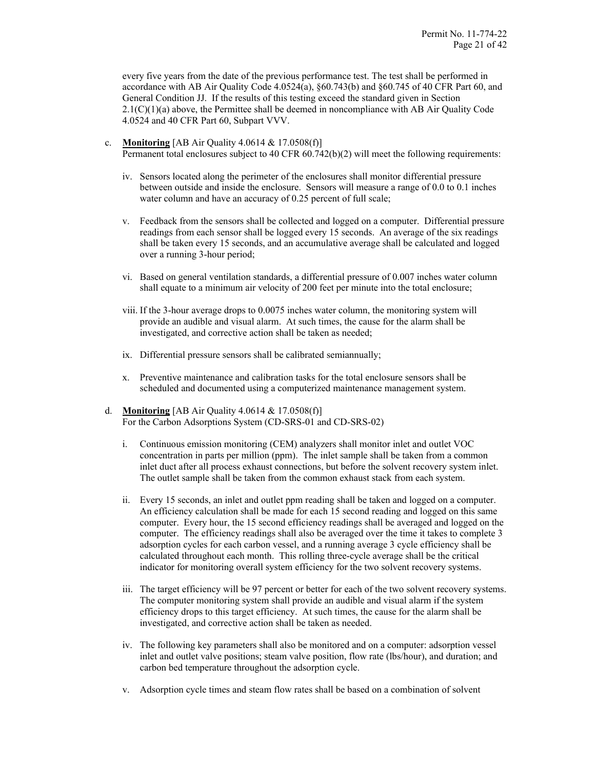every five years from the date of the previous performance test. The test shall be performed in accordance with AB Air Quality Code 4.0524(a), §60.743(b) and §60.745 of 40 CFR Part 60, and General Condition JJ. If the results of this testing exceed the standard given in Section  $2.1(C)(1)(a)$  above, the Permittee shall be deemed in noncompliance with AB Air Quality Code 4.0524 and 40 CFR Part 60, Subpart VVV.

- c. **Monitoring** [AB Air Quality 4.0614 & 17.0508(f)] Permanent total enclosures subject to 40 CFR 60.742(b)(2) will meet the following requirements:
	- iv. Sensors located along the perimeter of the enclosures shall monitor differential pressure between outside and inside the enclosure. Sensors will measure a range of 0.0 to 0.1 inches water column and have an accuracy of 0.25 percent of full scale;
	- v. Feedback from the sensors shall be collected and logged on a computer. Differential pressure readings from each sensor shall be logged every 15 seconds. An average of the six readings shall be taken every 15 seconds, and an accumulative average shall be calculated and logged over a running 3-hour period;
	- vi. Based on general ventilation standards, a differential pressure of 0.007 inches water column shall equate to a minimum air velocity of 200 feet per minute into the total enclosure;
	- viii. If the 3-hour average drops to 0.0075 inches water column, the monitoring system will provide an audible and visual alarm. At such times, the cause for the alarm shall be investigated, and corrective action shall be taken as needed;
	- ix. Differential pressure sensors shall be calibrated semiannually;
	- x. Preventive maintenance and calibration tasks for the total enclosure sensors shall be scheduled and documented using a computerized maintenance management system.
- d. **Monitoring** [AB Air Quality 4.0614 & 17.0508(f)] For the Carbon Adsorptions System (CD-SRS-01 and CD-SRS-02)
	- i. Continuous emission monitoring (CEM) analyzers shall monitor inlet and outlet VOC concentration in parts per million (ppm). The inlet sample shall be taken from a common inlet duct after all process exhaust connections, but before the solvent recovery system inlet. The outlet sample shall be taken from the common exhaust stack from each system.
	- ii. Every 15 seconds, an inlet and outlet ppm reading shall be taken and logged on a computer. An efficiency calculation shall be made for each 15 second reading and logged on this same computer. Every hour, the 15 second efficiency readings shall be averaged and logged on the computer. The efficiency readings shall also be averaged over the time it takes to complete 3 adsorption cycles for each carbon vessel, and a running average 3 cycle efficiency shall be calculated throughout each month. This rolling three-cycle average shall be the critical indicator for monitoring overall system efficiency for the two solvent recovery systems.
	- iii. The target efficiency will be 97 percent or better for each of the two solvent recovery systems. The computer monitoring system shall provide an audible and visual alarm if the system efficiency drops to this target efficiency. At such times, the cause for the alarm shall be investigated, and corrective action shall be taken as needed.
	- iv. The following key parameters shall also be monitored and on a computer: adsorption vessel inlet and outlet valve positions; steam valve position, flow rate (lbs/hour), and duration; and carbon bed temperature throughout the adsorption cycle.
	- v. Adsorption cycle times and steam flow rates shall be based on a combination of solvent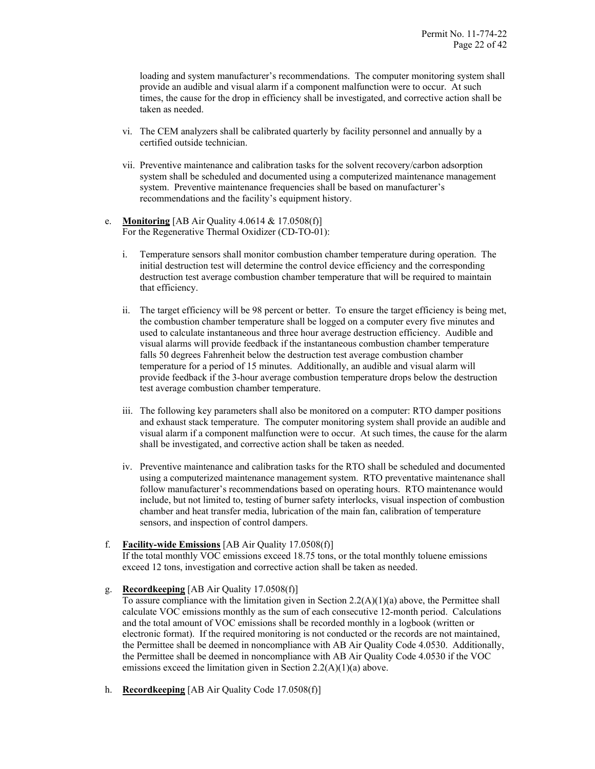loading and system manufacturer's recommendations. The computer monitoring system shall provide an audible and visual alarm if a component malfunction were to occur. At such times, the cause for the drop in efficiency shall be investigated, and corrective action shall be taken as needed.

- vi. The CEM analyzers shall be calibrated quarterly by facility personnel and annually by a certified outside technician.
- vii. Preventive maintenance and calibration tasks for the solvent recovery/carbon adsorption system shall be scheduled and documented using a computerized maintenance management system. Preventive maintenance frequencies shall be based on manufacturer's recommendations and the facility's equipment history.
- e. **Monitoring** [AB Air Quality 4.0614 & 17.0508(f)] For the Regenerative Thermal Oxidizer (CD-TO-01):
	- i. Temperature sensors shall monitor combustion chamber temperature during operation. The initial destruction test will determine the control device efficiency and the corresponding destruction test average combustion chamber temperature that will be required to maintain that efficiency.
	- ii. The target efficiency will be 98 percent or better. To ensure the target efficiency is being met, the combustion chamber temperature shall be logged on a computer every five minutes and used to calculate instantaneous and three hour average destruction efficiency. Audible and visual alarms will provide feedback if the instantaneous combustion chamber temperature falls 50 degrees Fahrenheit below the destruction test average combustion chamber temperature for a period of 15 minutes. Additionally, an audible and visual alarm will provide feedback if the 3-hour average combustion temperature drops below the destruction test average combustion chamber temperature.
	- iii. The following key parameters shall also be monitored on a computer: RTO damper positions and exhaust stack temperature. The computer monitoring system shall provide an audible and visual alarm if a component malfunction were to occur. At such times, the cause for the alarm shall be investigated, and corrective action shall be taken as needed.
	- iv. Preventive maintenance and calibration tasks for the RTO shall be scheduled and documented using a computerized maintenance management system. RTO preventative maintenance shall follow manufacturer's recommendations based on operating hours. RTO maintenance would include, but not limited to, testing of burner safety interlocks, visual inspection of combustion chamber and heat transfer media, lubrication of the main fan, calibration of temperature sensors, and inspection of control dampers.
- f. **Facility-wide Emissions** [AB Air Quality 17.0508(f)] If the total monthly VOC emissions exceed 18.75 tons, or the total monthly toluene emissions exceed 12 tons, investigation and corrective action shall be taken as needed.

g. **Recordkeeping** [AB Air Quality 17.0508(f)]

To assure compliance with the limitation given in Section  $2.2(A)(1)(a)$  above, the Permittee shall calculate VOC emissions monthly as the sum of each consecutive 12-month period. Calculations and the total amount of VOC emissions shall be recorded monthly in a logbook (written or electronic format). If the required monitoring is not conducted or the records are not maintained, the Permittee shall be deemed in noncompliance with AB Air Quality Code 4.0530. Additionally, the Permittee shall be deemed in noncompliance with AB Air Quality Code 4.0530 if the VOC emissions exceed the limitation given in Section 2.2(A)(1)(a) above.

h. **Recordkeeping** [AB Air Quality Code 17.0508(f)]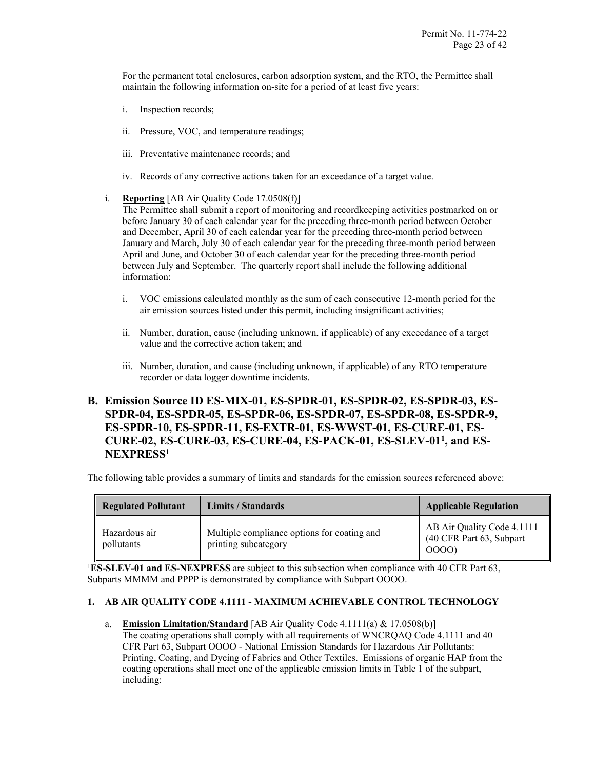For the permanent total enclosures, carbon adsorption system, and the RTO, the Permittee shall maintain the following information on-site for a period of at least five years:

- i. Inspection records;
- ii. Pressure, VOC, and temperature readings;
- iii. Preventative maintenance records; and
- iv. Records of any corrective actions taken for an exceedance of a target value.
- i. **Reporting** [AB Air Quality Code 17.0508(f)]

The Permittee shall submit a report of monitoring and recordkeeping activities postmarked on or before January 30 of each calendar year for the preceding three-month period between October and December, April 30 of each calendar year for the preceding three-month period between January and March, July 30 of each calendar year for the preceding three-month period between April and June, and October 30 of each calendar year for the preceding three-month period between July and September. The quarterly report shall include the following additional information:

- i. VOC emissions calculated monthly as the sum of each consecutive 12-month period for the air emission sources listed under this permit, including insignificant activities;
- ii. Number, duration, cause (including unknown, if applicable) of any exceedance of a target value and the corrective action taken; and
- iii. Number, duration, and cause (including unknown, if applicable) of any RTO temperature recorder or data logger downtime incidents.

# **B. Emission Source ID ES-MIX-01, ES-SPDR-01, ES-SPDR-02, ES-SPDR-03, ES-SPDR-04, ES-SPDR-05, ES-SPDR-06, ES-SPDR-07, ES-SPDR-08, ES-SPDR-9, ES-SPDR-10, ES-SPDR-11, ES-EXTR-01, ES-WWST-01, ES-CURE-01, ES-CURE-02, ES-CURE-03, ES-CURE-04, ES-PACK-01, ES-SLEV-011, and ES-NEXPRESS1**

The following table provides a summary of limits and standards for the emission sources referenced above:

| <b>Regulated Pollutant</b>  | Limits / Standards                                                  | <b>Applicable Regulation</b>                                     |
|-----------------------------|---------------------------------------------------------------------|------------------------------------------------------------------|
| Hazardous air<br>pollutants | Multiple compliance options for coating and<br>printing subcategory | AB Air Quality Code 4.1111<br>(40 CFR Part 63, Subpart)<br>0000) |

<sup>1</sup>ES-SLEV-01 and ES-NEXPRESS are subject to this subsection when compliance with 40 CFR Part 63, Subparts MMMM and PPPP is demonstrated by compliance with Subpart OOOO.

# **1. AB AIR QUALITY CODE 4.1111 - MAXIMUM ACHIEVABLE CONTROL TECHNOLOGY**

a. **Emission Limitation/Standard** [AB Air Quality Code 4.1111(a) & 17.0508(b)] The coating operations shall comply with all requirements of WNCRQAQ Code 4.1111 and 40 CFR Part 63, Subpart OOOO - National Emission Standards for Hazardous Air Pollutants: Printing, Coating, and Dyeing of Fabrics and Other Textiles. Emissions of organic HAP from the coating operations shall meet one of the applicable emission limits in Table 1 of the subpart, including: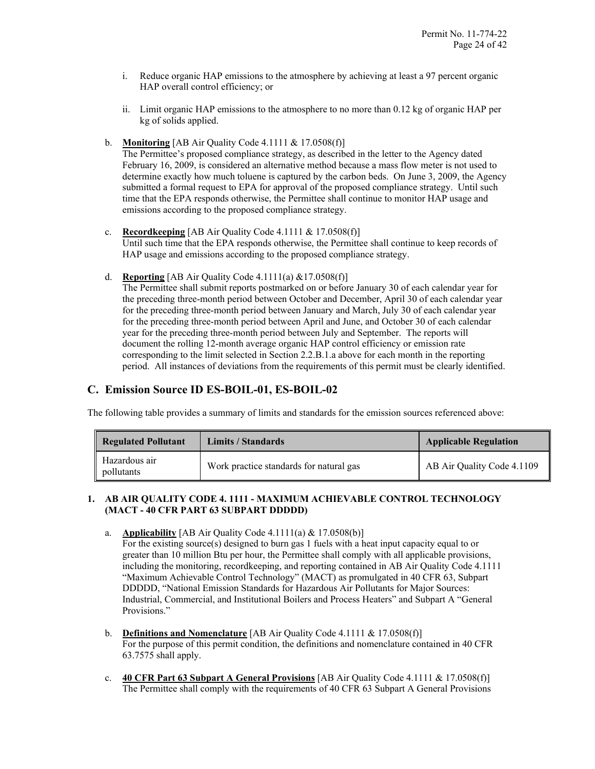- i. Reduce organic HAP emissions to the atmosphere by achieving at least a 97 percent organic HAP overall control efficiency; or
- ii. Limit organic HAP emissions to the atmosphere to no more than 0.12 kg of organic HAP per kg of solids applied.
- b. **Monitoring** [AB Air Quality Code 4.1111 & 17.0508(f)]

The Permittee's proposed compliance strategy, as described in the letter to the Agency dated February 16, 2009, is considered an alternative method because a mass flow meter is not used to determine exactly how much toluene is captured by the carbon beds. On June 3, 2009, the Agency submitted a formal request to EPA for approval of the proposed compliance strategy. Until such time that the EPA responds otherwise, the Permittee shall continue to monitor HAP usage and emissions according to the proposed compliance strategy.

- c. **Recordkeeping** [AB Air Quality Code 4.1111 & 17.0508(f)] Until such time that the EPA responds otherwise, the Permittee shall continue to keep records of HAP usage and emissions according to the proposed compliance strategy.
- d. **Reporting** [AB Air Quality Code 4.1111(a) &17.0508(f)]

The Permittee shall submit reports postmarked on or before January 30 of each calendar year for the preceding three-month period between October and December, April 30 of each calendar year for the preceding three-month period between January and March, July 30 of each calendar year for the preceding three-month period between April and June, and October 30 of each calendar year for the preceding three-month period between July and September. The reports will document the rolling 12-month average organic HAP control efficiency or emission rate corresponding to the limit selected in Section 2.2.B.1.a above for each month in the reporting period. All instances of deviations from the requirements of this permit must be clearly identified.

# **C. Emission Source ID ES-BOIL-01, ES-BOIL-02**

The following table provides a summary of limits and standards for the emission sources referenced above:

| <b>Regulated Pollutant</b>  | Limits / Standards                      | <b>Applicable Regulation</b> |
|-----------------------------|-----------------------------------------|------------------------------|
| Hazardous air<br>pollutants | Work practice standards for natural gas | AB Air Quality Code 4.1109   |

# **1. AB AIR QUALITY CODE 4. 1111 - MAXIMUM ACHIEVABLE CONTROL TECHNOLOGY (MACT - 40 CFR PART 63 SUBPART DDDDD)**

a. **Applicability** [AB Air Quality Code 4.1111(a) & 17.0508(b)]

For the existing source(s) designed to burn gas 1 fuels with a heat input capacity equal to or greater than 10 million Btu per hour, the Permittee shall comply with all applicable provisions, including the monitoring, recordkeeping, and reporting contained in AB Air Quality Code 4.1111 "Maximum Achievable Control Technology" (MACT) as promulgated in 40 CFR 63, Subpart DDDDD, "National Emission Standards for Hazardous Air Pollutants for Major Sources: Industrial, Commercial, and Institutional Boilers and Process Heaters" and Subpart A "General Provisions."

- b. **Definitions and Nomenclature** [AB Air Quality Code 4.1111 & 17.0508(f)] For the purpose of this permit condition, the definitions and nomenclature contained in 40 CFR 63.7575 shall apply.
- c. **40 CFR Part 63 Subpart A General Provisions** [AB Air Quality Code 4.1111 & 17.0508(f)] The Permittee shall comply with the requirements of 40 CFR 63 Subpart A General Provisions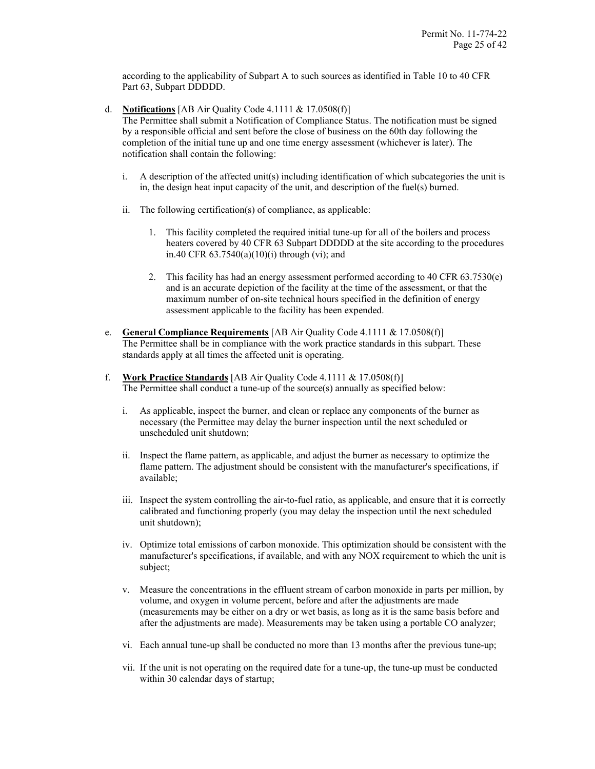according to the applicability of Subpart A to such sources as identified in Table 10 to 40 CFR Part 63, Subpart DDDDD.

- d. **Notifications** [AB Air Quality Code 4.1111 & 17.0508(f)] The Permittee shall submit a Notification of Compliance Status. The notification must be signed by a responsible official and sent before the close of business on the 60th day following the completion of the initial tune up and one time energy assessment (whichever is later). The
	- notification shall contain the following: i. A description of the affected unit(s) including identification of which subcategories the unit is
	- in, the design heat input capacity of the unit, and description of the fuel(s) burned.
	- ii. The following certification(s) of compliance, as applicable:
		- 1. This facility completed the required initial tune-up for all of the boilers and process heaters covered by 40 CFR 63 Subpart DDDDD at the site according to the procedures in.40 CFR  $63.7540(a)(10)(i)$  through (vi); and
		- 2. This facility has had an energy assessment performed according to 40 CFR 63.7530(e) and is an accurate depiction of the facility at the time of the assessment, or that the maximum number of on-site technical hours specified in the definition of energy assessment applicable to the facility has been expended.
- e. **General Compliance Requirements** [AB Air Quality Code 4.1111 & 17.0508(f)] The Permittee shall be in compliance with the work practice standards in this subpart. These standards apply at all times the affected unit is operating.
- f. **Work Practice Standards** [AB Air Quality Code 4.1111 & 17.0508(f)] The Permittee shall conduct a tune-up of the source(s) annually as specified below:
	- i. As applicable, inspect the burner, and clean or replace any components of the burner as necessary (the Permittee may delay the burner inspection until the next scheduled or unscheduled unit shutdown;
	- ii. Inspect the flame pattern, as applicable, and adjust the burner as necessary to optimize the flame pattern. The adjustment should be consistent with the manufacturer's specifications, if available;
	- iii. Inspect the system controlling the air-to-fuel ratio, as applicable, and ensure that it is correctly calibrated and functioning properly (you may delay the inspection until the next scheduled unit shutdown);
	- iv. Optimize total emissions of carbon monoxide. This optimization should be consistent with the manufacturer's specifications, if available, and with any NOX requirement to which the unit is subject;
	- v. Measure the concentrations in the effluent stream of carbon monoxide in parts per million, by volume, and oxygen in volume percent, before and after the adjustments are made (measurements may be either on a dry or wet basis, as long as it is the same basis before and after the adjustments are made). Measurements may be taken using a portable CO analyzer;
	- vi. Each annual tune-up shall be conducted no more than 13 months after the previous tune-up;
	- vii. If the unit is not operating on the required date for a tune-up, the tune-up must be conducted within 30 calendar days of startup;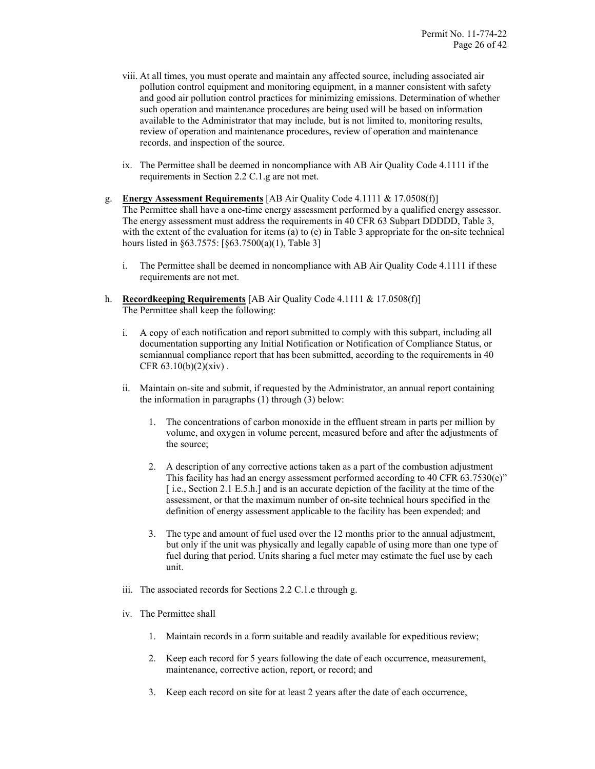- viii. At all times, you must operate and maintain any affected source, including associated air pollution control equipment and monitoring equipment, in a manner consistent with safety and good air pollution control practices for minimizing emissions. Determination of whether such operation and maintenance procedures are being used will be based on information available to the Administrator that may include, but is not limited to, monitoring results, review of operation and maintenance procedures, review of operation and maintenance records, and inspection of the source.
- ix. The Permittee shall be deemed in noncompliance with AB Air Quality Code 4.1111 if the requirements in Section 2.2 C.1.g are not met.
- g. **Energy Assessment Requirements** [AB Air Quality Code 4.1111 & 17.0508(f)] The Permittee shall have a one-time energy assessment performed by a qualified energy assessor. The energy assessment must address the requirements in 40 CFR 63 Subpart DDDDD, Table 3, with the extent of the evaluation for items (a) to (e) in Table 3 appropriate for the on-site technical hours listed in §63.7575: [§63.7500(a)(1), Table 3]
	- i. The Permittee shall be deemed in noncompliance with AB Air Quality Code 4.1111 if these requirements are not met.
- h. **Recordkeeping Requirements** [AB Air Quality Code 4.1111 & 17.0508(f)] The Permittee shall keep the following:
	- i. A copy of each notification and report submitted to comply with this subpart, including all documentation supporting any Initial Notification or Notification of Compliance Status, or semiannual compliance report that has been submitted, according to the requirements in 40 CFR 63.10(b)(2)(xiv) .
	- ii. Maintain on-site and submit, if requested by the Administrator, an annual report containing the information in paragraphs (1) through (3) below:
		- 1. The concentrations of carbon monoxide in the effluent stream in parts per million by volume, and oxygen in volume percent, measured before and after the adjustments of the source;
		- 2. A description of any corrective actions taken as a part of the combustion adjustment This facility has had an energy assessment performed according to 40 CFR 63.7530(e)" [i.e., Section 2.1 E.5.h.] and is an accurate depiction of the facility at the time of the assessment, or that the maximum number of on-site technical hours specified in the definition of energy assessment applicable to the facility has been expended; and
		- 3. The type and amount of fuel used over the 12 months prior to the annual adjustment, but only if the unit was physically and legally capable of using more than one type of fuel during that period. Units sharing a fuel meter may estimate the fuel use by each unit.
	- iii. The associated records for Sections 2.2 C.1.e through g.
	- iv. The Permittee shall
		- 1. Maintain records in a form suitable and readily available for expeditious review;
		- 2. Keep each record for 5 years following the date of each occurrence, measurement, maintenance, corrective action, report, or record; and
		- 3. Keep each record on site for at least 2 years after the date of each occurrence,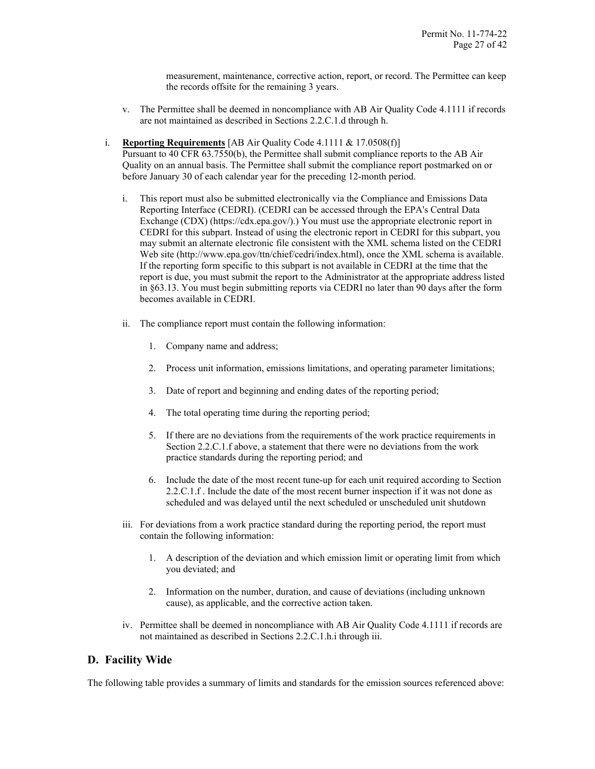measurement, maintenance, corrective action, report, or record. The Permittee can keep the records offsite for the remaining 3 years.

- v. The Permittee shall be deemed in noncompliance with AB Air Quality Code 4.1111 if records are not maintained as described in Sections 2.2.C.1.d through h.
- i. **Reporting Requirements** [AB Air Quality Code 4.1111 & 17.0508(f)]

Pursuant to 40 CFR 63.7550(b), the Permittee shall submit compliance reports to the AB Air Quality on an annual basis. The Permittee shall submit the compliance report postmarked on or before January 30 of each calendar year for the preceding 12-month period.

- i. This report must also be submitted electronically via the Compliance and Emissions Data Reporting Interface (CEDRI). (CEDRI can be accessed through the EPA's Central Data Exchange (CDX) (https://cdx.epa.gov/).) You must use the appropriate electronic report in CEDRI for this subpart. Instead of using the electronic report in CEDRI for this subpart, you may submit an alternate electronic file consistent with the XML schema listed on the CEDRI Web site (http://www.epa.gov/ttn/chief/cedri/index.html), once the XML schema is available. If the reporting form specific to this subpart is not available in CEDRI at the time that the report is due, you must submit the report to the Administrator at the appropriate address listed in §63.13. You must begin submitting reports via CEDRI no later than 90 days after the form becomes available in CEDRI.
- ii. The compliance report must contain the following information:
	- 1. Company name and address;
	- 2. Process unit information, emissions limitations, and operating parameter limitations;
	- 3. Date of report and beginning and ending dates of the reporting period;
	- 4. The total operating time during the reporting period;
	- 5. If there are no deviations from the requirements of the work practice requirements in Section 2.2.C.1.f above, a statement that there were no deviations from the work practice standards during the reporting period; and
	- 6. Include the date of the most recent tune-up for each unit required according to Section 2.2.C.1.f . Include the date of the most recent burner inspection if it was not done as scheduled and was delayed until the next scheduled or unscheduled unit shutdown
- iii. For deviations from a work practice standard during the reporting period, the report must contain the following information:
	- 1. A description of the deviation and which emission limit or operating limit from which you deviated; and
	- 2. Information on the number, duration, and cause of deviations (including unknown cause), as applicable, and the corrective action taken.
- iv. Permittee shall be deemed in noncompliance with AB Air Quality Code 4.1111 if records are not maintained as described in Sections 2.2.C.1.h.i through iii.

# **D. Facility Wide**

The following table provides a summary of limits and standards for the emission sources referenced above: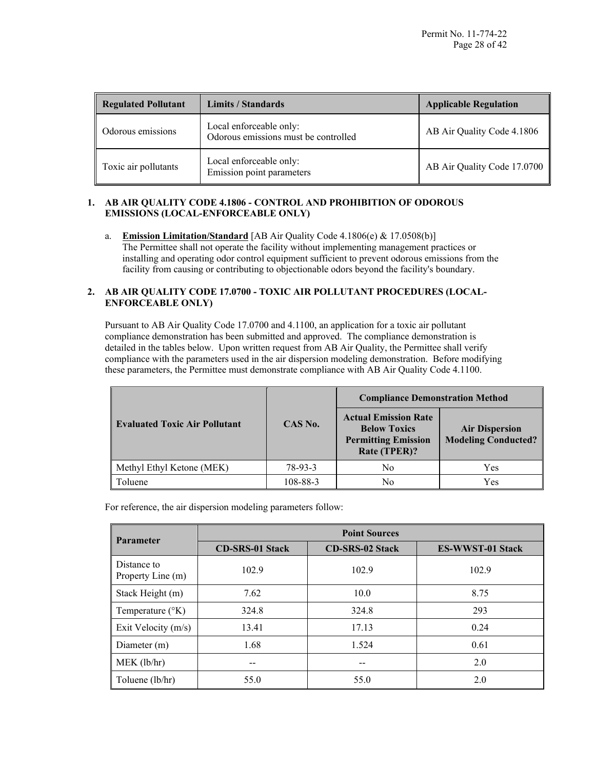| <b>Regulated Pollutant</b> | <b>Limits / Standards</b>                                       | <b>Applicable Regulation</b> |
|----------------------------|-----------------------------------------------------------------|------------------------------|
| Odorous emissions          | Local enforceable only:<br>Odorous emissions must be controlled | AB Air Quality Code 4.1806   |
| Toxic air pollutants       | Local enforceable only:<br>Emission point parameters            | AB Air Quality Code 17.0700  |

# **1. AB AIR QUALITY CODE 4.1806 - CONTROL AND PROHIBITION OF ODOROUS EMISSIONS (LOCAL-ENFORCEABLE ONLY)**

a. **Emission Limitation/Standard** [AB Air Quality Code 4.1806(e) & 17.0508(b)] The Permittee shall not operate the facility without implementing management practices or installing and operating odor control equipment sufficient to prevent odorous emissions from the facility from causing or contributing to objectionable odors beyond the facility's boundary.

# **2. AB AIR QUALITY CODE 17.0700 - TOXIC AIR POLLUTANT PROCEDURES (LOCAL-ENFORCEABLE ONLY)**

Pursuant to AB Air Quality Code 17.0700 and 4.1100, an application for a toxic air pollutant compliance demonstration has been submitted and approved. The compliance demonstration is detailed in the tables below. Upon written request from AB Air Quality, the Permittee shall verify compliance with the parameters used in the air dispersion modeling demonstration. Before modifying these parameters, the Permittee must demonstrate compliance with AB Air Quality Code 4.1100.

|                                      |          | <b>Compliance Demonstration Method</b>                                                           |                                                     |  |
|--------------------------------------|----------|--------------------------------------------------------------------------------------------------|-----------------------------------------------------|--|
| <b>Evaluated Toxic Air Pollutant</b> | CAS No.  | <b>Actual Emission Rate</b><br><b>Below Toxics</b><br><b>Permitting Emission</b><br>Rate (TPER)? | <b>Air Dispersion</b><br><b>Modeling Conducted?</b> |  |
| Methyl Ethyl Ketone (MEK)            | 78-93-3  | No                                                                                               | Yes                                                 |  |
| Toluene                              | 108-88-3 | No                                                                                               | Yes                                                 |  |

For reference, the air dispersion modeling parameters follow:

| <b>Parameter</b>                 | <b>Point Sources</b>   |                        |                         |
|----------------------------------|------------------------|------------------------|-------------------------|
|                                  | <b>CD-SRS-01 Stack</b> | <b>CD-SRS-02 Stack</b> | <b>ES-WWST-01 Stack</b> |
| Distance to<br>Property Line (m) | 102.9                  | 102.9                  | 102.9                   |
| Stack Height (m)                 | 7.62                   | 10.0                   | 8.75                    |
| Temperature $({}^{\circ}K)$      | 324.8                  | 324.8                  | 293                     |
| Exit Velocity $(m/s)$            | 13.41                  | 17.13                  | 0.24                    |
| Diameter (m)                     | 1.68                   | 1.524                  | 0.61                    |
| MEK (lb/hr)                      |                        |                        | 2.0                     |
| Toluene (lb/hr)                  | 55.0                   | 55.0                   | 2.0                     |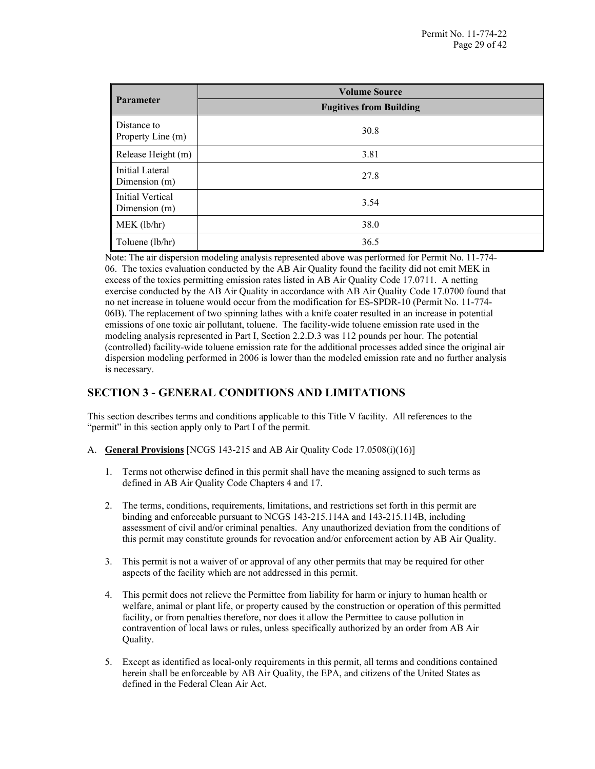| <b>Parameter</b>                   | <b>Volume Source</b>           |  |
|------------------------------------|--------------------------------|--|
|                                    | <b>Fugitives from Building</b> |  |
| Distance to<br>Property Line (m)   | 30.8                           |  |
| Release Height (m)                 | 3.81                           |  |
| Initial Lateral<br>Dimension $(m)$ | 27.8                           |  |
| Initial Vertical<br>Dimension (m)  | 3.54                           |  |
| MEK (lb/hr)                        | 38.0                           |  |
| Toluene (lb/hr)                    | 36.5                           |  |

Note: The air dispersion modeling analysis represented above was performed for Permit No. 11-774- 06. The toxics evaluation conducted by the AB Air Quality found the facility did not emit MEK in excess of the toxics permitting emission rates listed in AB Air Quality Code 17.0711. A netting exercise conducted by the AB Air Quality in accordance with AB Air Quality Code 17.0700 found that no net increase in toluene would occur from the modification for ES-SPDR-10 (Permit No. 11-774- 06B). The replacement of two spinning lathes with a knife coater resulted in an increase in potential emissions of one toxic air pollutant, toluene. The facility-wide toluene emission rate used in the modeling analysis represented in Part I, Section 2.2.D.3 was 112 pounds per hour. The potential (controlled) facility-wide toluene emission rate for the additional processes added since the original air dispersion modeling performed in 2006 is lower than the modeled emission rate and no further analysis is necessary.

# **SECTION 3 - GENERAL CONDITIONS AND LIMITATIONS**

This section describes terms and conditions applicable to this Title V facility. All references to the "permit" in this section apply only to Part I of the permit.

- A. **General Provisions** [NCGS 143-215 and AB Air Quality Code 17.0508(i)(16)]
	- 1. Terms not otherwise defined in this permit shall have the meaning assigned to such terms as defined in AB Air Quality Code Chapters 4 and 17.
	- 2. The terms, conditions, requirements, limitations, and restrictions set forth in this permit are binding and enforceable pursuant to NCGS 143-215.114A and 143-215.114B, including assessment of civil and/or criminal penalties. Any unauthorized deviation from the conditions of this permit may constitute grounds for revocation and/or enforcement action by AB Air Quality.
	- 3. This permit is not a waiver of or approval of any other permits that may be required for other aspects of the facility which are not addressed in this permit.
	- 4. This permit does not relieve the Permittee from liability for harm or injury to human health or welfare, animal or plant life, or property caused by the construction or operation of this permitted facility, or from penalties therefore, nor does it allow the Permittee to cause pollution in contravention of local laws or rules, unless specifically authorized by an order from AB Air Quality.
	- 5. Except as identified as local-only requirements in this permit, all terms and conditions contained herein shall be enforceable by AB Air Quality, the EPA, and citizens of the United States as defined in the Federal Clean Air Act.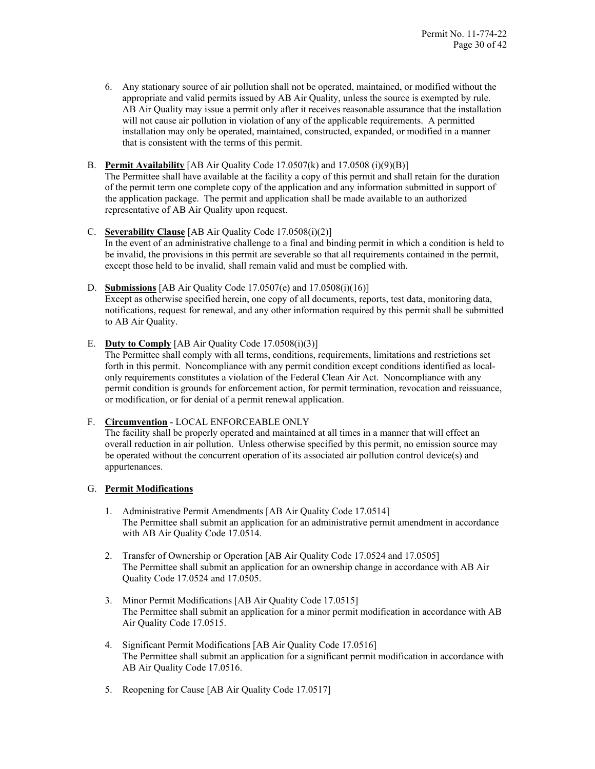6. Any stationary source of air pollution shall not be operated, maintained, or modified without the appropriate and valid permits issued by AB Air Quality, unless the source is exempted by rule. AB Air Quality may issue a permit only after it receives reasonable assurance that the installation will not cause air pollution in violation of any of the applicable requirements. A permitted installation may only be operated, maintained, constructed, expanded, or modified in a manner that is consistent with the terms of this permit.

# B. **Permit Availability** [AB Air Quality Code 17.0507(k) and 17.0508 (i)(9)(B)]

The Permittee shall have available at the facility a copy of this permit and shall retain for the duration of the permit term one complete copy of the application and any information submitted in support of the application package. The permit and application shall be made available to an authorized representative of AB Air Quality upon request.

# C. **Severability Clause** [AB Air Quality Code 17.0508(i)(2)]

In the event of an administrative challenge to a final and binding permit in which a condition is held to be invalid, the provisions in this permit are severable so that all requirements contained in the permit, except those held to be invalid, shall remain valid and must be complied with.

# D. **Submissions** [AB Air Quality Code 17.0507(e) and 17.0508(i)(16)]

Except as otherwise specified herein, one copy of all documents, reports, test data, monitoring data, notifications, request for renewal, and any other information required by this permit shall be submitted to AB Air Quality.

# E. **Duty to Comply** [AB Air Quality Code 17.0508(i)(3)]

The Permittee shall comply with all terms, conditions, requirements, limitations and restrictions set forth in this permit. Noncompliance with any permit condition except conditions identified as localonly requirements constitutes a violation of the Federal Clean Air Act. Noncompliance with any permit condition is grounds for enforcement action, for permit termination, revocation and reissuance, or modification, or for denial of a permit renewal application.

# F. **Circumvention** - LOCAL ENFORCEABLE ONLY

The facility shall be properly operated and maintained at all times in a manner that will effect an overall reduction in air pollution. Unless otherwise specified by this permit, no emission source may be operated without the concurrent operation of its associated air pollution control device(s) and appurtenances.

# G. **Permit Modifications**

- 1. Administrative Permit Amendments [AB Air Quality Code 17.0514] The Permittee shall submit an application for an administrative permit amendment in accordance with AB Air Quality Code 17.0514.
- 2. Transfer of Ownership or Operation [AB Air Quality Code 17.0524 and 17.0505] The Permittee shall submit an application for an ownership change in accordance with AB Air Quality Code 17.0524 and 17.0505.
- 3. Minor Permit Modifications [AB Air Quality Code 17.0515] The Permittee shall submit an application for a minor permit modification in accordance with AB Air Quality Code 17.0515.
- 4. Significant Permit Modifications [AB Air Quality Code 17.0516] The Permittee shall submit an application for a significant permit modification in accordance with AB Air Quality Code 17.0516.
- 5. Reopening for Cause [AB Air Quality Code 17.0517]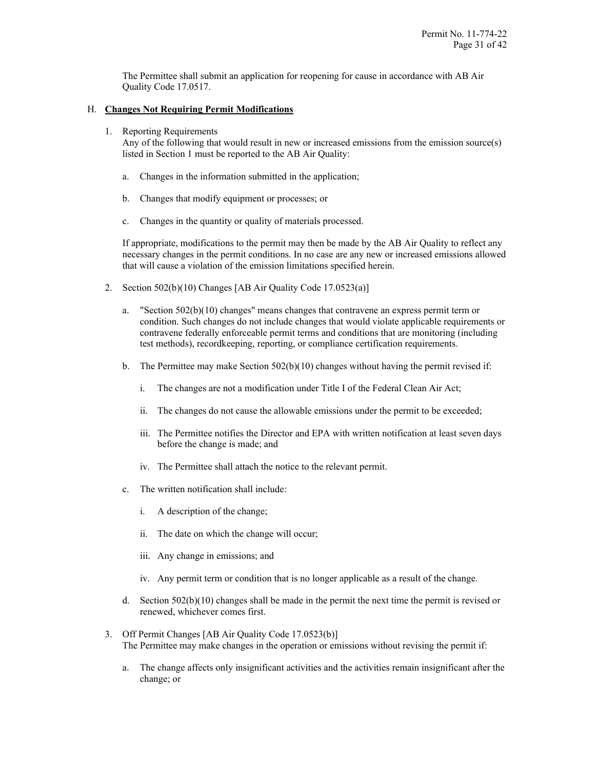The Permittee shall submit an application for reopening for cause in accordance with AB Air Quality Code 17.0517.

# H. **Changes Not Requiring Permit Modifications**

1. Reporting Requirements

Any of the following that would result in new or increased emissions from the emission source(s) listed in Section 1 must be reported to the AB Air Quality:

- a. Changes in the information submitted in the application;
- b. Changes that modify equipment or processes; or
- c. Changes in the quantity or quality of materials processed.

If appropriate, modifications to the permit may then be made by the AB Air Quality to reflect any necessary changes in the permit conditions. In no case are any new or increased emissions allowed that will cause a violation of the emission limitations specified herein.

- 2. Section 502(b)(10) Changes [AB Air Quality Code 17.0523(a)]
	- a. "Section 502(b)(10) changes" means changes that contravene an express permit term or condition. Such changes do not include changes that would violate applicable requirements or contravene federally enforceable permit terms and conditions that are monitoring (including test methods), recordkeeping, reporting, or compliance certification requirements.
	- b. The Permittee may make Section  $502(b)(10)$  changes without having the permit revised if:
		- i. The changes are not a modification under Title I of the Federal Clean Air Act;
		- ii. The changes do not cause the allowable emissions under the permit to be exceeded;
		- iii. The Permittee notifies the Director and EPA with written notification at least seven days before the change is made; and
		- iv. The Permittee shall attach the notice to the relevant permit.
	- c. The written notification shall include:
		- i. A description of the change;
		- ii. The date on which the change will occur;
		- iii. Any change in emissions; and
		- iv. Any permit term or condition that is no longer applicable as a result of the change.
	- d. Section  $502(b)(10)$  changes shall be made in the permit the next time the permit is revised or renewed, whichever comes first.
- 3. Off Permit Changes [AB Air Quality Code 17.0523(b)] The Permittee may make changes in the operation or emissions without revising the permit if:
	- a. The change affects only insignificant activities and the activities remain insignificant after the change; or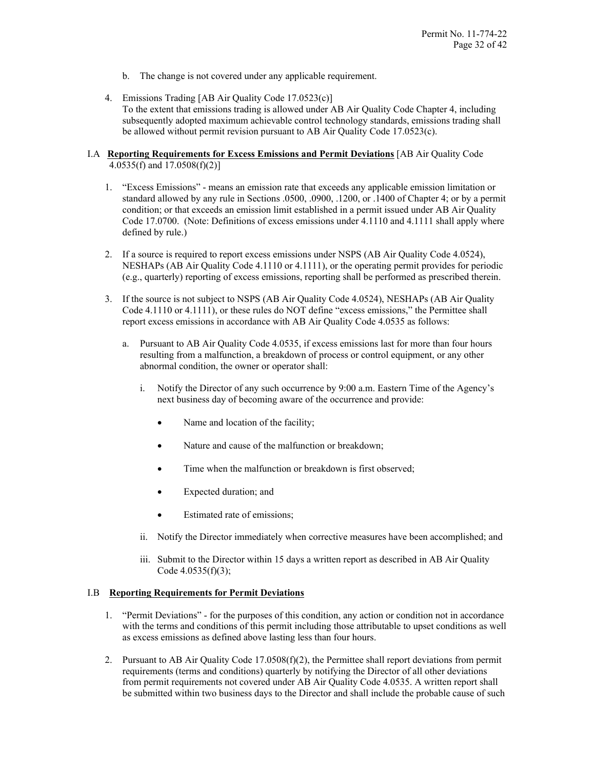- b. The change is not covered under any applicable requirement.
- 4. Emissions Trading [AB Air Quality Code 17.0523(c)] To the extent that emissions trading is allowed under AB Air Quality Code Chapter 4, including subsequently adopted maximum achievable control technology standards, emissions trading shall be allowed without permit revision pursuant to AB Air Quality Code 17.0523(c).

# I.A **Reporting Requirements for Excess Emissions and Permit Deviations** [AB Air Quality Code 4.0535(f) and 17.0508(f)(2)]

- 1. "Excess Emissions" means an emission rate that exceeds any applicable emission limitation or standard allowed by any rule in Sections .0500, .0900, .1200, or .1400 of Chapter 4; or by a permit condition; or that exceeds an emission limit established in a permit issued under AB Air Quality Code 17.0700. (Note: Definitions of excess emissions under 4.1110 and 4.1111 shall apply where defined by rule.)
- 2. If a source is required to report excess emissions under NSPS (AB Air Quality Code 4.0524), NESHAPs (AB Air Quality Code 4.1110 or 4.1111), or the operating permit provides for periodic (e.g., quarterly) reporting of excess emissions, reporting shall be performed as prescribed therein.
- 3. If the source is not subject to NSPS (AB Air Quality Code 4.0524), NESHAPs (AB Air Quality Code 4.1110 or 4.1111), or these rules do NOT define "excess emissions," the Permittee shall report excess emissions in accordance with AB Air Quality Code 4.0535 as follows:
	- a. Pursuant to AB Air Quality Code 4.0535, if excess emissions last for more than four hours resulting from a malfunction, a breakdown of process or control equipment, or any other abnormal condition, the owner or operator shall:
		- i. Notify the Director of any such occurrence by 9:00 a.m. Eastern Time of the Agency's next business day of becoming aware of the occurrence and provide:
			- Name and location of the facility;
			- Nature and cause of the malfunction or breakdown;
			- Time when the malfunction or breakdown is first observed;
			- Expected duration; and
			- Estimated rate of emissions;
		- ii. Notify the Director immediately when corrective measures have been accomplished; and
		- iii. Submit to the Director within 15 days a written report as described in AB Air Quality Code 4.0535(f)(3);

# I.B **Reporting Requirements for Permit Deviations**

- 1. "Permit Deviations" for the purposes of this condition, any action or condition not in accordance with the terms and conditions of this permit including those attributable to upset conditions as well as excess emissions as defined above lasting less than four hours.
- 2. Pursuant to AB Air Quality Code 17.0508(f)(2), the Permittee shall report deviations from permit requirements (terms and conditions) quarterly by notifying the Director of all other deviations from permit requirements not covered under AB Air Quality Code 4.0535. A written report shall be submitted within two business days to the Director and shall include the probable cause of such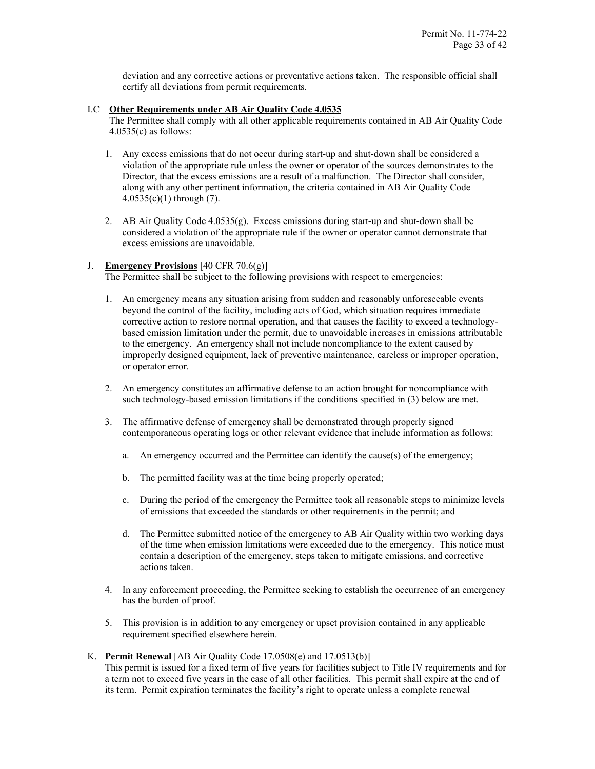deviation and any corrective actions or preventative actions taken. The responsible official shall certify all deviations from permit requirements.

# I.C **Other Requirements under AB Air Quality Code 4.0535**

The Permittee shall comply with all other applicable requirements contained in AB Air Quality Code 4.0535(c) as follows:

- 1. Any excess emissions that do not occur during start-up and shut-down shall be considered a violation of the appropriate rule unless the owner or operator of the sources demonstrates to the Director, that the excess emissions are a result of a malfunction. The Director shall consider, along with any other pertinent information, the criteria contained in AB Air Quality Code  $4.0535(c)(1)$  through (7).
- 2. AB Air Quality Code  $4.0535(g)$ . Excess emissions during start-up and shut-down shall be considered a violation of the appropriate rule if the owner or operator cannot demonstrate that excess emissions are unavoidable.

# J. **Emergency Provisions** [40 CFR 70.6(g)]

The Permittee shall be subject to the following provisions with respect to emergencies:

- 1. An emergency means any situation arising from sudden and reasonably unforeseeable events beyond the control of the facility, including acts of God, which situation requires immediate corrective action to restore normal operation, and that causes the facility to exceed a technologybased emission limitation under the permit, due to unavoidable increases in emissions attributable to the emergency. An emergency shall not include noncompliance to the extent caused by improperly designed equipment, lack of preventive maintenance, careless or improper operation, or operator error.
- 2. An emergency constitutes an affirmative defense to an action brought for noncompliance with such technology-based emission limitations if the conditions specified in (3) below are met.
- 3. The affirmative defense of emergency shall be demonstrated through properly signed contemporaneous operating logs or other relevant evidence that include information as follows:
	- a. An emergency occurred and the Permittee can identify the cause(s) of the emergency;
	- b. The permitted facility was at the time being properly operated;
	- c. During the period of the emergency the Permittee took all reasonable steps to minimize levels of emissions that exceeded the standards or other requirements in the permit; and
	- d. The Permittee submitted notice of the emergency to AB Air Quality within two working days of the time when emission limitations were exceeded due to the emergency. This notice must contain a description of the emergency, steps taken to mitigate emissions, and corrective actions taken.
- 4. In any enforcement proceeding, the Permittee seeking to establish the occurrence of an emergency has the burden of proof.
- 5. This provision is in addition to any emergency or upset provision contained in any applicable requirement specified elsewhere herein.

# K. **Permit Renewal** [AB Air Quality Code 17.0508(e) and 17.0513(b)]

This permit is issued for a fixed term of five years for facilities subject to Title IV requirements and for a term not to exceed five years in the case of all other facilities. This permit shall expire at the end of its term. Permit expiration terminates the facility's right to operate unless a complete renewal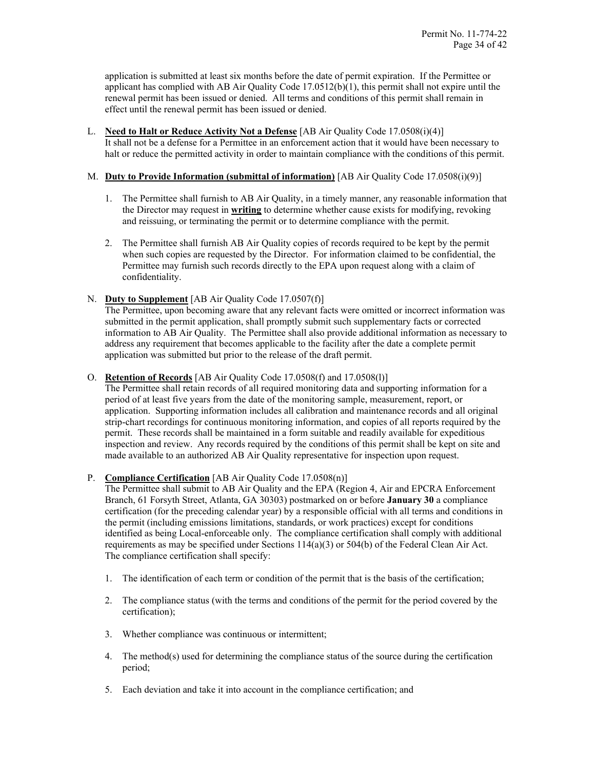application is submitted at least six months before the date of permit expiration. If the Permittee or applicant has complied with AB Air Quality Code 17.0512(b)(1), this permit shall not expire until the renewal permit has been issued or denied. All terms and conditions of this permit shall remain in effect until the renewal permit has been issued or denied.

#### L. **Need to Halt or Reduce Activity Not a Defense** [AB Air Quality Code 17.0508(i)(4)]

It shall not be a defense for a Permittee in an enforcement action that it would have been necessary to halt or reduce the permitted activity in order to maintain compliance with the conditions of this permit.

# M. **Duty to Provide Information (submittal of information)** [AB Air Quality Code 17.0508(i)(9)]

- 1. The Permittee shall furnish to AB Air Quality, in a timely manner, any reasonable information that the Director may request in **writing** to determine whether cause exists for modifying, revoking and reissuing, or terminating the permit or to determine compliance with the permit.
- 2. The Permittee shall furnish AB Air Quality copies of records required to be kept by the permit when such copies are requested by the Director. For information claimed to be confidential, the Permittee may furnish such records directly to the EPA upon request along with a claim of confidentiality.

# N. **Duty to Supplement** [AB Air Quality Code 17.0507(f)]

The Permittee, upon becoming aware that any relevant facts were omitted or incorrect information was submitted in the permit application, shall promptly submit such supplementary facts or corrected information to AB Air Quality. The Permittee shall also provide additional information as necessary to address any requirement that becomes applicable to the facility after the date a complete permit application was submitted but prior to the release of the draft permit.

#### O. **Retention of Records** [AB Air Quality Code 17.0508(f) and 17.0508(l)]

The Permittee shall retain records of all required monitoring data and supporting information for a period of at least five years from the date of the monitoring sample, measurement, report, or application. Supporting information includes all calibration and maintenance records and all original strip-chart recordings for continuous monitoring information, and copies of all reports required by the permit. These records shall be maintained in a form suitable and readily available for expeditious inspection and review. Any records required by the conditions of this permit shall be kept on site and made available to an authorized AB Air Quality representative for inspection upon request.

# P. **Compliance Certification** [AB Air Quality Code 17.0508(n)]

The Permittee shall submit to AB Air Quality and the EPA (Region 4, Air and EPCRA Enforcement Branch, 61 Forsyth Street, Atlanta, GA 30303) postmarked on or before **January 30** a compliance certification (for the preceding calendar year) by a responsible official with all terms and conditions in the permit (including emissions limitations, standards, or work practices) except for conditions identified as being Local-enforceable only. The compliance certification shall comply with additional requirements as may be specified under Sections 114(a)(3) or 504(b) of the Federal Clean Air Act. The compliance certification shall specify:

- 1. The identification of each term or condition of the permit that is the basis of the certification;
- 2. The compliance status (with the terms and conditions of the permit for the period covered by the certification);
- 3. Whether compliance was continuous or intermittent;
- 4. The method(s) used for determining the compliance status of the source during the certification period;
- 5. Each deviation and take it into account in the compliance certification; and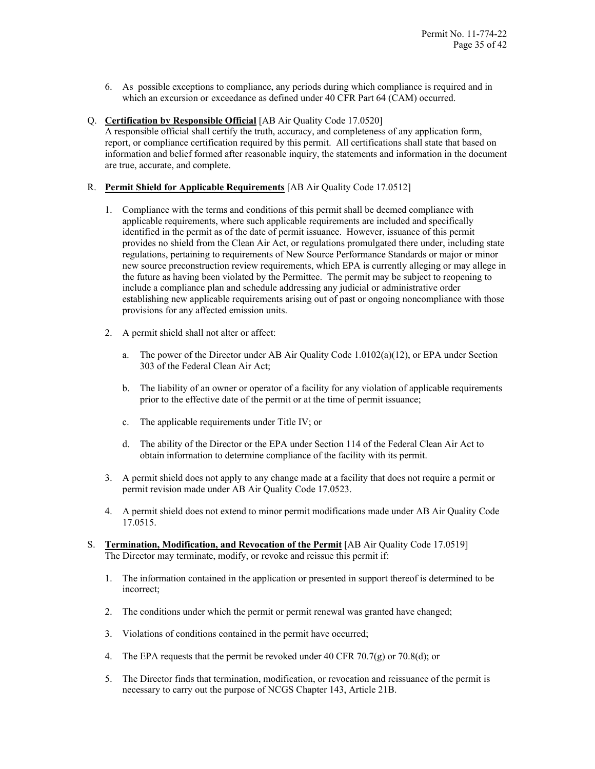- 6. As possible exceptions to compliance, any periods during which compliance is required and in which an excursion or exceedance as defined under 40 CFR Part 64 (CAM) occurred.
- Q. **Certification by Responsible Official** [AB Air Quality Code 17.0520]

A responsible official shall certify the truth, accuracy, and completeness of any application form, report, or compliance certification required by this permit. All certifications shall state that based on information and belief formed after reasonable inquiry, the statements and information in the document are true, accurate, and complete.

#### R. **Permit Shield for Applicable Requirements** [AB Air Quality Code 17.0512]

- 1. Compliance with the terms and conditions of this permit shall be deemed compliance with applicable requirements, where such applicable requirements are included and specifically identified in the permit as of the date of permit issuance. However, issuance of this permit provides no shield from the Clean Air Act, or regulations promulgated there under, including state regulations, pertaining to requirements of New Source Performance Standards or major or minor new source preconstruction review requirements, which EPA is currently alleging or may allege in the future as having been violated by the Permittee. The permit may be subject to reopening to include a compliance plan and schedule addressing any judicial or administrative order establishing new applicable requirements arising out of past or ongoing noncompliance with those provisions for any affected emission units.
- 2. A permit shield shall not alter or affect:
	- a. The power of the Director under AB Air Quality Code 1.0102(a)(12), or EPA under Section 303 of the Federal Clean Air Act;
	- b. The liability of an owner or operator of a facility for any violation of applicable requirements prior to the effective date of the permit or at the time of permit issuance;
	- c. The applicable requirements under Title IV; or
	- d. The ability of the Director or the EPA under Section 114 of the Federal Clean Air Act to obtain information to determine compliance of the facility with its permit.
- 3. A permit shield does not apply to any change made at a facility that does not require a permit or permit revision made under AB Air Quality Code 17.0523.
- 4. A permit shield does not extend to minor permit modifications made under AB Air Quality Code 17.0515.
- S. **Termination, Modification, and Revocation of the Permit** [AB Air Quality Code 17.0519] The Director may terminate, modify, or revoke and reissue this permit if:
	- 1. The information contained in the application or presented in support thereof is determined to be incorrect;
	- 2. The conditions under which the permit or permit renewal was granted have changed;
	- 3. Violations of conditions contained in the permit have occurred;
	- 4. The EPA requests that the permit be revoked under 40 CFR 70.7(g) or 70.8(d); or
	- 5. The Director finds that termination, modification, or revocation and reissuance of the permit is necessary to carry out the purpose of NCGS Chapter 143, Article 21B.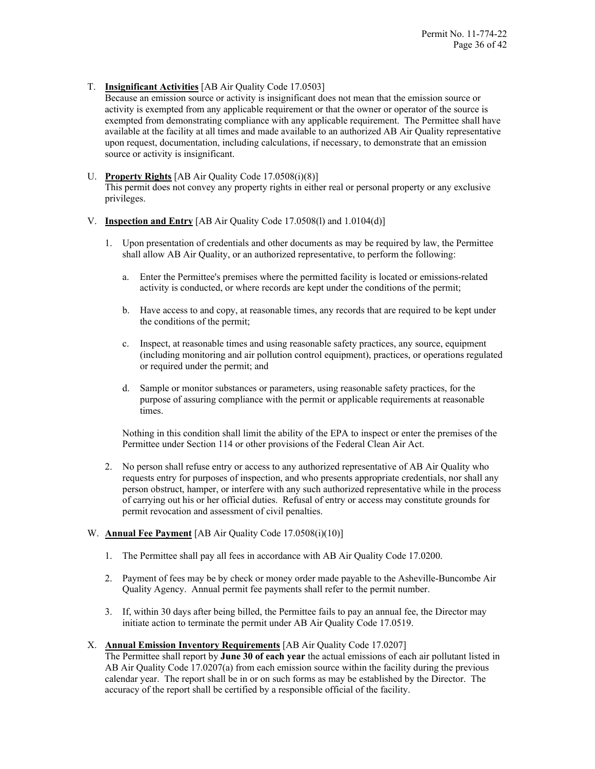T. **Insignificant Activities** [AB Air Quality Code 17.0503]

Because an emission source or activity is insignificant does not mean that the emission source or activity is exempted from any applicable requirement or that the owner or operator of the source is exempted from demonstrating compliance with any applicable requirement. The Permittee shall have available at the facility at all times and made available to an authorized AB Air Quality representative upon request, documentation, including calculations, if necessary, to demonstrate that an emission source or activity is insignificant.

#### U. **Property Rights** [AB Air Quality Code 17.0508(i)(8)]

This permit does not convey any property rights in either real or personal property or any exclusive privileges.

# V. **Inspection and Entry** [AB Air Quality Code 17.0508(l) and 1.0104(d)]

- 1. Upon presentation of credentials and other documents as may be required by law, the Permittee shall allow AB Air Quality, or an authorized representative, to perform the following:
	- a. Enter the Permittee's premises where the permitted facility is located or emissions-related activity is conducted, or where records are kept under the conditions of the permit;
	- b. Have access to and copy, at reasonable times, any records that are required to be kept under the conditions of the permit;
	- c. Inspect, at reasonable times and using reasonable safety practices, any source, equipment (including monitoring and air pollution control equipment), practices, or operations regulated or required under the permit; and
	- d. Sample or monitor substances or parameters, using reasonable safety practices, for the purpose of assuring compliance with the permit or applicable requirements at reasonable times.

Nothing in this condition shall limit the ability of the EPA to inspect or enter the premises of the Permittee under Section 114 or other provisions of the Federal Clean Air Act.

2. No person shall refuse entry or access to any authorized representative of AB Air Quality who requests entry for purposes of inspection, and who presents appropriate credentials, nor shall any person obstruct, hamper, or interfere with any such authorized representative while in the process of carrying out his or her official duties. Refusal of entry or access may constitute grounds for permit revocation and assessment of civil penalties.

# W. **Annual Fee Payment** [AB Air Quality Code 17.0508(i)(10)]

- 1. The Permittee shall pay all fees in accordance with AB Air Quality Code 17.0200.
- 2. Payment of fees may be by check or money order made payable to the Asheville-Buncombe Air Quality Agency. Annual permit fee payments shall refer to the permit number.
- 3. If, within 30 days after being billed, the Permittee fails to pay an annual fee, the Director may initiate action to terminate the permit under AB Air Quality Code 17.0519.

# X. **Annual Emission Inventory Requirements** [AB Air Quality Code 17.0207]

The Permittee shall report by **June 30 of each year** the actual emissions of each air pollutant listed in AB Air Quality Code 17.0207(a) from each emission source within the facility during the previous calendar year. The report shall be in or on such forms as may be established by the Director. The accuracy of the report shall be certified by a responsible official of the facility.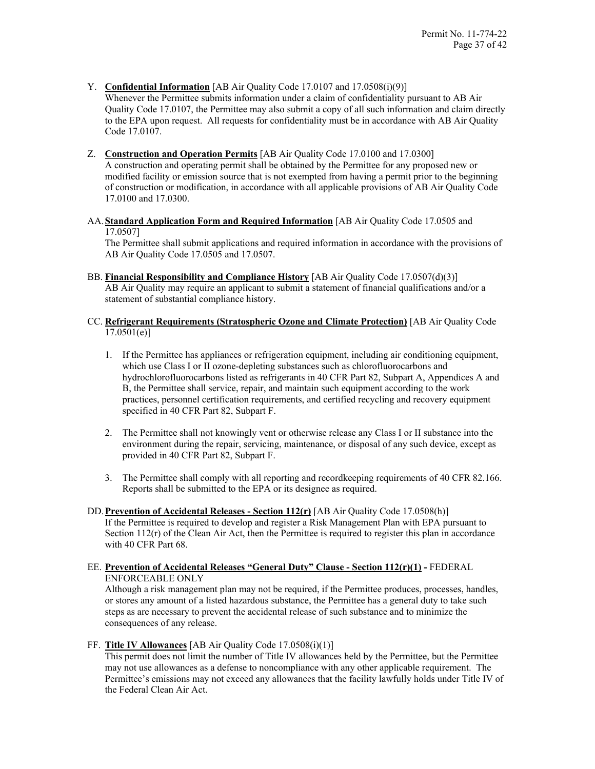Y. **Confidential Information** [AB Air Quality Code 17.0107 and 17.0508(i)(9)]

Whenever the Permittee submits information under a claim of confidentiality pursuant to AB Air Quality Code 17.0107, the Permittee may also submit a copy of all such information and claim directly to the EPA upon request. All requests for confidentiality must be in accordance with AB Air Quality Code 17.0107.

- Z. **Construction and Operation Permits** [AB Air Quality Code 17.0100 and 17.0300] A construction and operating permit shall be obtained by the Permittee for any proposed new or modified facility or emission source that is not exempted from having a permit prior to the beginning of construction or modification, in accordance with all applicable provisions of AB Air Quality Code 17.0100 and 17.0300.
- AA.**Standard Application Form and Required Information** [AB Air Quality Code 17.0505 and 17.0507]

The Permittee shall submit applications and required information in accordance with the provisions of AB Air Quality Code 17.0505 and 17.0507.

- BB. **Financial Responsibility and Compliance History** [AB Air Quality Code 17.0507(d)(3)] AB Air Quality may require an applicant to submit a statement of financial qualifications and/or a statement of substantial compliance history.
- CC. **Refrigerant Requirements (Stratospheric Ozone and Climate Protection)** [AB Air Quality Code 17.0501(e)]
	- 1. If the Permittee has appliances or refrigeration equipment, including air conditioning equipment, which use Class I or II ozone-depleting substances such as chlorofluorocarbons and hydrochlorofluorocarbons listed as refrigerants in 40 CFR Part 82, Subpart A, Appendices A and B, the Permittee shall service, repair, and maintain such equipment according to the work practices, personnel certification requirements, and certified recycling and recovery equipment specified in 40 CFR Part 82, Subpart F.
	- 2. The Permittee shall not knowingly vent or otherwise release any Class I or II substance into the environment during the repair, servicing, maintenance, or disposal of any such device, except as provided in 40 CFR Part 82, Subpart F.
	- 3. The Permittee shall comply with all reporting and recordkeeping requirements of 40 CFR 82.166. Reports shall be submitted to the EPA or its designee as required.
- DD.**Prevention of Accidental Releases - Section 112(r)** [AB Air Quality Code 17.0508(h)] If the Permittee is required to develop and register a Risk Management Plan with EPA pursuant to Section 112(r) of the Clean Air Act, then the Permittee is required to register this plan in accordance with 40 CFR Part 68.

# EE. **Prevention of Accidental Releases "General Duty" Clause - Section 112(r)(1) -** FEDERAL ENFORCEABLE ONLY

Although a risk management plan may not be required, if the Permittee produces, processes, handles, or stores any amount of a listed hazardous substance, the Permittee has a general duty to take such steps as are necessary to prevent the accidental release of such substance and to minimize the consequences of any release.

FF. **Title IV Allowances** [AB Air Quality Code 17.0508(i)(1)]

This permit does not limit the number of Title IV allowances held by the Permittee, but the Permittee may not use allowances as a defense to noncompliance with any other applicable requirement. The Permittee's emissions may not exceed any allowances that the facility lawfully holds under Title IV of the Federal Clean Air Act.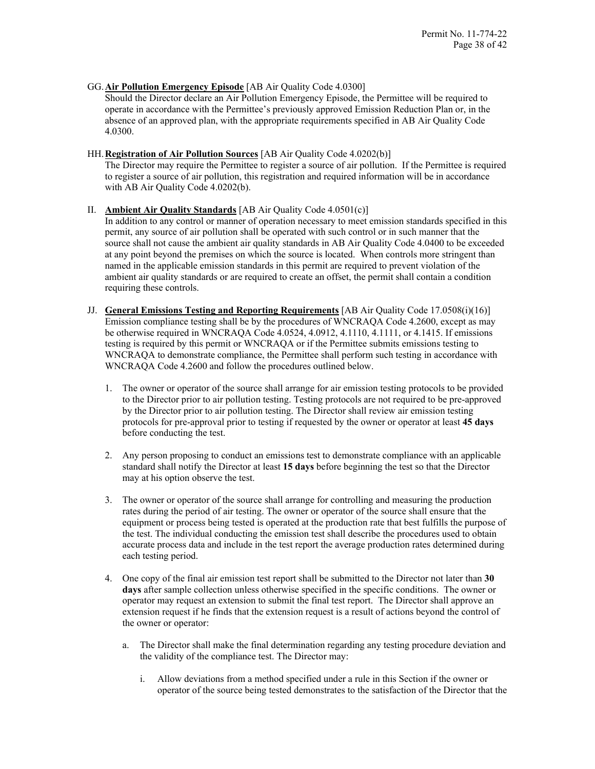#### GG.**Air Pollution Emergency Episode** [AB Air Quality Code 4.0300]

Should the Director declare an Air Pollution Emergency Episode, the Permittee will be required to operate in accordance with the Permittee's previously approved Emission Reduction Plan or, in the absence of an approved plan, with the appropriate requirements specified in AB Air Quality Code 4.0300.

#### HH.**Registration of Air Pollution Sources** [AB Air Quality Code 4.0202(b)]

The Director may require the Permittee to register a source of air pollution. If the Permittee is required to register a source of air pollution, this registration and required information will be in accordance with AB Air Quality Code 4.0202(b).

# II. **Ambient Air Quality Standards** [AB Air Quality Code 4.0501(c)]

In addition to any control or manner of operation necessary to meet emission standards specified in this permit, any source of air pollution shall be operated with such control or in such manner that the source shall not cause the ambient air quality standards in AB Air Quality Code 4.0400 to be exceeded at any point beyond the premises on which the source is located. When controls more stringent than named in the applicable emission standards in this permit are required to prevent violation of the ambient air quality standards or are required to create an offset, the permit shall contain a condition requiring these controls.

- JJ. **General Emissions Testing and Reporting Requirements** [AB Air Quality Code 17.0508(i)(16)] Emission compliance testing shall be by the procedures of WNCRAQA Code 4.2600, except as may be otherwise required in WNCRAQA Code 4.0524, 4.0912, 4.1110, 4.1111, or 4.1415. If emissions testing is required by this permit or WNCRAQA or if the Permittee submits emissions testing to WNCRAQA to demonstrate compliance, the Permittee shall perform such testing in accordance with WNCRAQA Code 4.2600 and follow the procedures outlined below.
	- 1. The owner or operator of the source shall arrange for air emission testing protocols to be provided to the Director prior to air pollution testing. Testing protocols are not required to be pre-approved by the Director prior to air pollution testing. The Director shall review air emission testing protocols for pre-approval prior to testing if requested by the owner or operator at least **45 days** before conducting the test.
	- 2. Any person proposing to conduct an emissions test to demonstrate compliance with an applicable standard shall notify the Director at least **15 days** before beginning the test so that the Director may at his option observe the test.
	- 3. The owner or operator of the source shall arrange for controlling and measuring the production rates during the period of air testing. The owner or operator of the source shall ensure that the equipment or process being tested is operated at the production rate that best fulfills the purpose of the test. The individual conducting the emission test shall describe the procedures used to obtain accurate process data and include in the test report the average production rates determined during each testing period.
	- 4. One copy of the final air emission test report shall be submitted to the Director not later than **30 days** after sample collection unless otherwise specified in the specific conditions. The owner or operator may request an extension to submit the final test report. The Director shall approve an extension request if he finds that the extension request is a result of actions beyond the control of the owner or operator:
		- a. The Director shall make the final determination regarding any testing procedure deviation and the validity of the compliance test. The Director may:
			- i. Allow deviations from a method specified under a rule in this Section if the owner or operator of the source being tested demonstrates to the satisfaction of the Director that the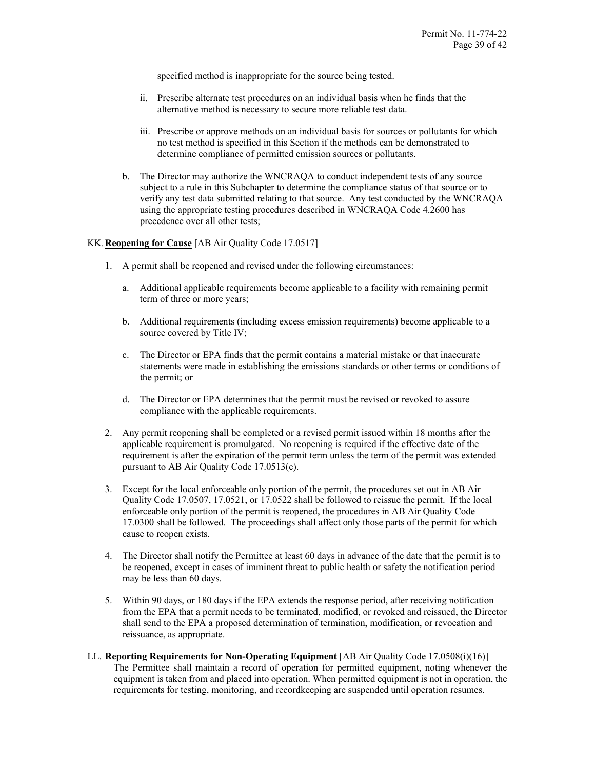specified method is inappropriate for the source being tested.

- ii. Prescribe alternate test procedures on an individual basis when he finds that the alternative method is necessary to secure more reliable test data.
- iii. Prescribe or approve methods on an individual basis for sources or pollutants for which no test method is specified in this Section if the methods can be demonstrated to determine compliance of permitted emission sources or pollutants.
- b. The Director may authorize the WNCRAQA to conduct independent tests of any source subject to a rule in this Subchapter to determine the compliance status of that source or to verify any test data submitted relating to that source. Any test conducted by the WNCRAQA using the appropriate testing procedures described in WNCRAQA Code 4.2600 has precedence over all other tests;

# KK.**Reopening for Cause** [AB Air Quality Code 17.0517]

- 1. A permit shall be reopened and revised under the following circumstances:
	- a. Additional applicable requirements become applicable to a facility with remaining permit term of three or more years;
	- b. Additional requirements (including excess emission requirements) become applicable to a source covered by Title IV;
	- c. The Director or EPA finds that the permit contains a material mistake or that inaccurate statements were made in establishing the emissions standards or other terms or conditions of the permit; or
	- d. The Director or EPA determines that the permit must be revised or revoked to assure compliance with the applicable requirements.
- 2. Any permit reopening shall be completed or a revised permit issued within 18 months after the applicable requirement is promulgated. No reopening is required if the effective date of the requirement is after the expiration of the permit term unless the term of the permit was extended pursuant to AB Air Quality Code 17.0513(c).
- 3. Except for the local enforceable only portion of the permit, the procedures set out in AB Air Quality Code 17.0507, 17.0521, or 17.0522 shall be followed to reissue the permit. If the local enforceable only portion of the permit is reopened, the procedures in AB Air Quality Code 17.0300 shall be followed. The proceedings shall affect only those parts of the permit for which cause to reopen exists.
- 4. The Director shall notify the Permittee at least 60 days in advance of the date that the permit is to be reopened, except in cases of imminent threat to public health or safety the notification period may be less than 60 days.
- 5. Within 90 days, or 180 days if the EPA extends the response period, after receiving notification from the EPA that a permit needs to be terminated, modified, or revoked and reissued, the Director shall send to the EPA a proposed determination of termination, modification, or revocation and reissuance, as appropriate.
- LL. **Reporting Requirements for Non-Operating Equipment** [AB Air Quality Code 17.0508(i)(16)] The Permittee shall maintain a record of operation for permitted equipment, noting whenever the equipment is taken from and placed into operation. When permitted equipment is not in operation, the requirements for testing, monitoring, and recordkeeping are suspended until operation resumes.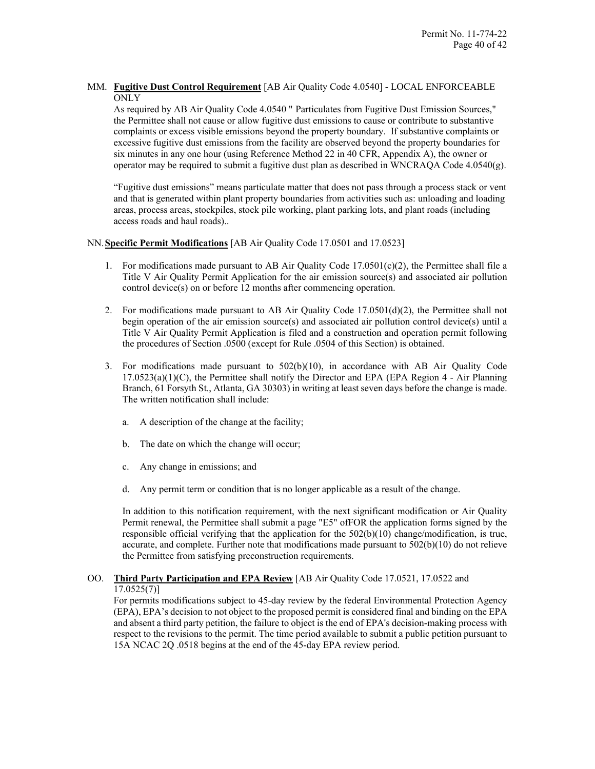# MM. **Fugitive Dust Control Requirement** [AB Air Quality Code 4.0540] - LOCAL ENFORCEABLE **ONLY**

As required by AB Air Quality Code 4.0540 " Particulates from Fugitive Dust Emission Sources," the Permittee shall not cause or allow fugitive dust emissions to cause or contribute to substantive complaints or excess visible emissions beyond the property boundary. If substantive complaints or excessive fugitive dust emissions from the facility are observed beyond the property boundaries for six minutes in any one hour (using Reference Method 22 in 40 CFR, Appendix A), the owner or operator may be required to submit a fugitive dust plan as described in WNCRAQA Code 4.0540(g).

"Fugitive dust emissions" means particulate matter that does not pass through a process stack or vent and that is generated within plant property boundaries from activities such as: unloading and loading areas, process areas, stockpiles, stock pile working, plant parking lots, and plant roads (including access roads and haul roads)..

#### NN.**Specific Permit Modifications** [AB Air Quality Code 17.0501 and 17.0523]

- 1. For modifications made pursuant to AB Air Quality Code  $17.0501(c)(2)$ , the Permittee shall file a Title V Air Quality Permit Application for the air emission source(s) and associated air pollution control device(s) on or before 12 months after commencing operation.
- 2. For modifications made pursuant to AB Air Quality Code  $17.0501(d)(2)$ , the Permittee shall not begin operation of the air emission source(s) and associated air pollution control device(s) until a Title V Air Quality Permit Application is filed and a construction and operation permit following the procedures of Section .0500 (except for Rule .0504 of this Section) is obtained.
- 3. For modifications made pursuant to 502(b)(10), in accordance with AB Air Quality Code  $17.0523(a)(1)(C)$ , the Permittee shall notify the Director and EPA (EPA Region 4 - Air Planning Branch, 61 Forsyth St., Atlanta, GA 30303) in writing at least seven days before the change is made. The written notification shall include:
	- a. A description of the change at the facility;
	- b. The date on which the change will occur;
	- c. Any change in emissions; and
	- d. Any permit term or condition that is no longer applicable as a result of the change.

In addition to this notification requirement, with the next significant modification or Air Quality Permit renewal, the Permittee shall submit a page "E5" ofFOR the application forms signed by the responsible official verifying that the application for the 502(b)(10) change/modification, is true, accurate, and complete. Further note that modifications made pursuant to  $502(b)(10)$  do not relieve the Permittee from satisfying preconstruction requirements.

# OO. **Third Party Participation and EPA Review** [AB Air Quality Code 17.0521, 17.0522 and 17.0525(7)]

For permits modifications subject to 45-day review by the federal Environmental Protection Agency (EPA), EPA's decision to not object to the proposed permit is considered final and binding on the EPA and absent a third party petition, the failure to object is the end of EPA's decision-making process with respect to the revisions to the permit. The time period available to submit a public petition pursuant to 15A NCAC 2Q .0518 begins at the end of the 45-day EPA review period.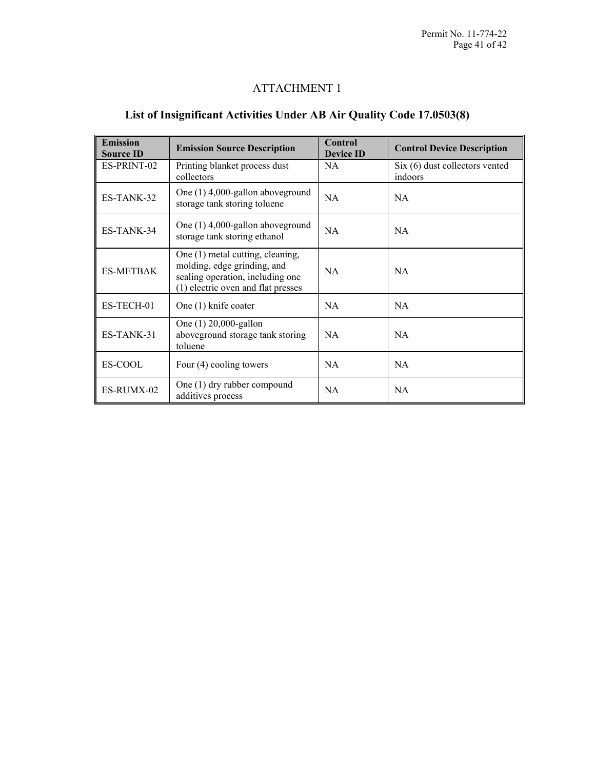# ATTACHMENT 1

# **List of Insignificant Activities Under AB Air Quality Code 17.0503(8)**

| <b>Emission</b><br><b>Source ID</b> | <b>Emission Source Description</b>                                                                                                        | <b>Control</b><br><b>Device ID</b> | <b>Control Device Description</b>           |
|-------------------------------------|-------------------------------------------------------------------------------------------------------------------------------------------|------------------------------------|---------------------------------------------|
| ES-PRINT-02                         | Printing blanket process dust<br>collectors                                                                                               | NA.                                | $Six (6)$ dust collectors vented<br>indoors |
| ES-TANK-32                          | One $(1)$ 4,000-gallon aboveground<br>storage tank storing toluene                                                                        | NA.                                | NA.                                         |
| ES-TANK-34                          | One $(1)$ 4,000-gallon aboveground<br>storage tank storing ethanol                                                                        | <b>NA</b>                          | NA.                                         |
| <b>ES-METBAK</b>                    | One (1) metal cutting, cleaning,<br>molding, edge grinding, and<br>sealing operation, including one<br>(1) electric oven and flat presses | <b>NA</b>                          | NA.                                         |
| ES-TECH-01                          | One (1) knife coater                                                                                                                      | NA.                                | NA.                                         |
| ES-TANK-31                          | One (1) 20,000-gallon<br>aboveground storage tank storing<br>toluene                                                                      | NA.                                | NA                                          |
| ES-COOL                             | Four $(4)$ cooling towers                                                                                                                 | NA.                                | <b>NA</b>                                   |
| ES-RUMX-02                          | One $(1)$ dry rubber compound<br>additives process                                                                                        | <b>NA</b>                          | <b>NA</b>                                   |